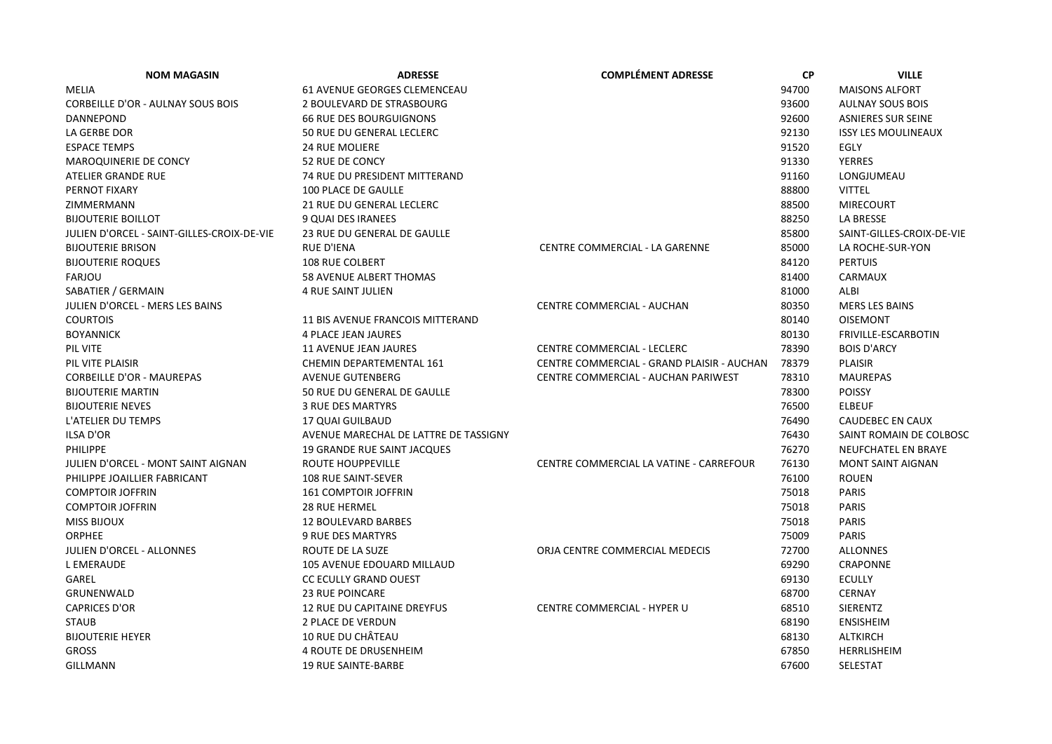| <b>NOM MAGASIN</b>                         | <b>ADRESSE</b>                        | <b>COMPLÉMENT ADRESSE</b>                  | <b>CP</b> | <b>VILLE</b>               |
|--------------------------------------------|---------------------------------------|--------------------------------------------|-----------|----------------------------|
| <b>MELIA</b>                               | 61 AVENUE GEORGES CLEMENCEAU          |                                            | 94700     | <b>MAISONS ALFORT</b>      |
| CORBEILLE D'OR - AULNAY SOUS BOIS          | 2 BOULEVARD DE STRASBOURG             |                                            | 93600     | <b>AULNAY SOUS BOIS</b>    |
| DANNEPOND                                  | <b>66 RUE DES BOURGUIGNONS</b>        |                                            | 92600     | <b>ASNIERES SUR SEINE</b>  |
| LA GERBE DOR                               | 50 RUE DU GENERAL LECLERC             |                                            | 92130     | <b>ISSY LES MOULINEAUX</b> |
| <b>ESPACE TEMPS</b>                        | <b>24 RUE MOLIERE</b>                 |                                            | 91520     | <b>EGLY</b>                |
| <b>MAROQUINERIE DE CONCY</b>               | <b>52 RUE DE CONCY</b>                |                                            | 91330     | <b>YERRES</b>              |
| ATELIER GRANDE RUE                         | 74 RUE DU PRESIDENT MITTERAND         |                                            | 91160     | LONGJUMEAU                 |
| PERNOT FIXARY                              | <b>100 PLACE DE GAULLE</b>            |                                            | 88800     | <b>VITTEL</b>              |
| ZIMMERMANN                                 | 21 RUE DU GENERAL LECLERC             |                                            | 88500     | <b>MIRECOURT</b>           |
| <b>BIJOUTERIE BOILLOT</b>                  | 9 QUAI DES IRANEES                    |                                            | 88250     | LA BRESSE                  |
| JULIEN D'ORCEL - SAINT-GILLES-CROIX-DE-VIE | 23 RUE DU GENERAL DE GAULLE           |                                            | 85800     | SAINT-GILLES-CROIX-DE-VIE  |
| <b>BIJOUTERIE BRISON</b>                   | RUE D'IENA                            | CENTRE COMMERCIAL - LA GARENNE             | 85000     | LA ROCHE-SUR-YON           |
| <b>BIJOUTERIE ROQUES</b>                   | <b>108 RUE COLBERT</b>                |                                            | 84120     | <b>PERTUIS</b>             |
| <b>FARJOU</b>                              | 58 AVENUE ALBERT THOMAS               |                                            | 81400     | CARMAUX                    |
| SABATIER / GERMAIN                         | <b>4 RUE SAINT JULIEN</b>             |                                            | 81000     | ALBI                       |
| JULIEN D'ORCEL - MERS LES BAINS            |                                       | CENTRE COMMERCIAL - AUCHAN                 | 80350     | <b>MERS LES BAINS</b>      |
| <b>COURTOIS</b>                            | 11 BIS AVENUE FRANCOIS MITTERAND      |                                            | 80140     | <b>OISEMONT</b>            |
| <b>BOYANNICK</b>                           | 4 PLACE JEAN JAURES                   |                                            | 80130     | FRIVILLE-ESCARBOTIN        |
| PIL VITE                                   | <b>11 AVENUE JEAN JAURES</b>          | <b>CENTRE COMMERCIAL - LECLERC</b>         | 78390     | <b>BOIS D'ARCY</b>         |
| PIL VITE PLAISIR                           | <b>CHEMIN DEPARTEMENTAL 161</b>       | CENTRE COMMERCIAL - GRAND PLAISIR - AUCHAN | 78379     | <b>PLAISIR</b>             |
| <b>CORBEILLE D'OR - MAUREPAS</b>           | <b>AVENUE GUTENBERG</b>               | CENTRE COMMERCIAL - AUCHAN PARIWEST        | 78310     | <b>MAUREPAS</b>            |
| <b>BIJOUTERIE MARTIN</b>                   | 50 RUE DU GENERAL DE GAULLE           |                                            | 78300     | <b>POISSY</b>              |
| <b>BIJOUTERIE NEVES</b>                    | <b>3 RUE DES MARTYRS</b>              |                                            | 76500     | <b>ELBEUF</b>              |
| L'ATELIER DU TEMPS                         | 17 QUAI GUILBAUD                      |                                            | 76490     | CAUDEBEC EN CAUX           |
| <b>ILSA D'OR</b>                           | AVENUE MARECHAL DE LATTRE DE TASSIGNY |                                            | 76430     | SAINT ROMAIN DE COLBOSC    |
| <b>PHILIPPE</b>                            | 19 GRANDE RUE SAINT JACQUES           |                                            | 76270     | NEUFCHATEL EN BRAYE        |
| JULIEN D'ORCEL - MONT SAINT AIGNAN         | <b>ROUTE HOUPPEVILLE</b>              | CENTRE COMMERCIAL LA VATINE - CARREFOUR    | 76130     | <b>MONT SAINT AIGNAN</b>   |
| PHILIPPE JOAILLIER FABRICANT               | <b>108 RUE SAINT-SEVER</b>            |                                            | 76100     | <b>ROUEN</b>               |
| <b>COMPTOIR JOFFRIN</b>                    | <b>161 COMPTOIR JOFFRIN</b>           |                                            | 75018     | <b>PARIS</b>               |
| <b>COMPTOIR JOFFRIN</b>                    | 28 RUE HERMEL                         |                                            | 75018     | <b>PARIS</b>               |
| <b>MISS BIJOUX</b>                         | <b>12 BOULEVARD BARBES</b>            |                                            | 75018     | <b>PARIS</b>               |
| <b>ORPHEE</b>                              | 9 RUE DES MARTYRS                     |                                            | 75009     | <b>PARIS</b>               |
| <b>JULIEN D'ORCEL - ALLONNES</b>           | ROUTE DE LA SUZE                      | ORJA CENTRE COMMERCIAL MEDECIS             | 72700     | <b>ALLONNES</b>            |
| <b>L EMERAUDE</b>                          | 105 AVENUE EDOUARD MILLAUD            |                                            | 69290     | <b>CRAPONNE</b>            |
| GAREL                                      | <b>CC ECULLY GRAND OUEST</b>          |                                            | 69130     | <b>ECULLY</b>              |
| GRUNENWALD                                 | <b>23 RUE POINCARE</b>                |                                            | 68700     | <b>CERNAY</b>              |
| <b>CAPRICES D'OR</b>                       | 12 RUE DU CAPITAINE DREYFUS           | CENTRE COMMERCIAL - HYPER U                | 68510     | SIERENTZ                   |
| <b>STAUB</b>                               | 2 PLACE DE VERDUN                     |                                            | 68190     | <b>ENSISHEIM</b>           |
| <b>BIJOUTERIE HEYER</b>                    | 10 RUE DU CHÂTEAU                     |                                            | 68130     | ALTKIRCH                   |
| <b>GROSS</b>                               | <b>4 ROUTE DE DRUSENHEIM</b>          |                                            | 67850     | HERRLISHEIM                |
| <b>GILLMANN</b>                            | <b>19 RUE SAINTE-BARBE</b>            |                                            | 67600     | <b>SELESTAT</b>            |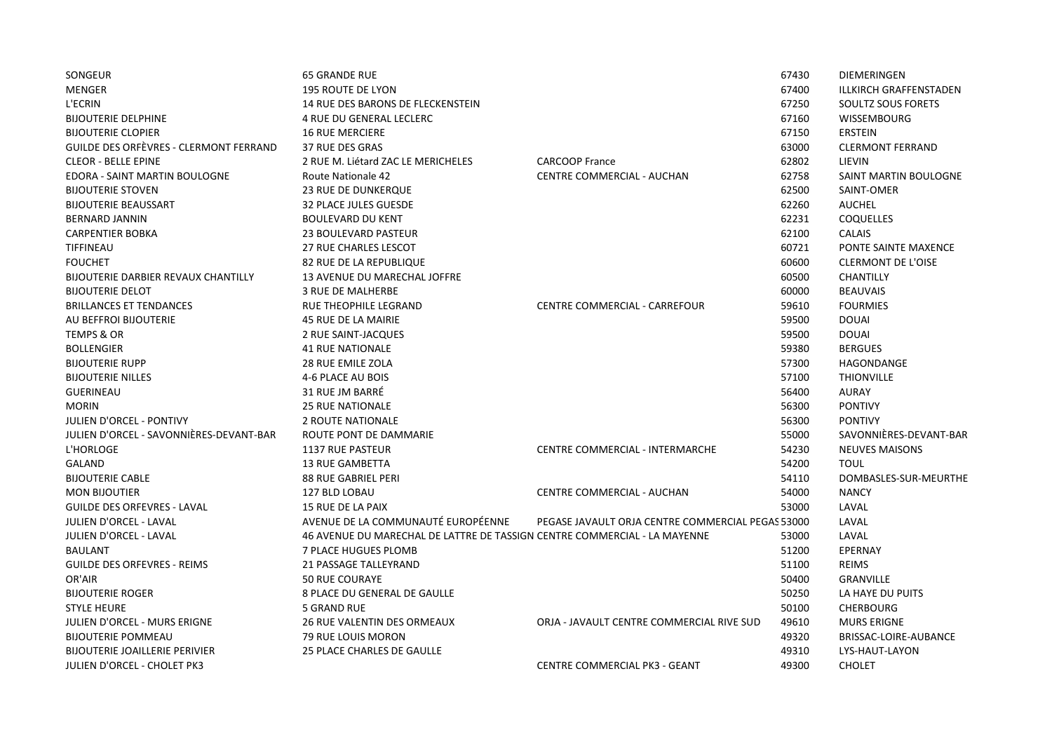| SONGEUR                                    | <b>65 GRANDE RUE</b>                                                      |                                                   | 67430 | <b>DIEMERINGEN</b>            |
|--------------------------------------------|---------------------------------------------------------------------------|---------------------------------------------------|-------|-------------------------------|
| <b>MENGER</b>                              | <b>195 ROUTE DE LYON</b>                                                  |                                                   | 67400 | <b>ILLKIRCH GRAFFENSTADEN</b> |
| L'ECRIN                                    | 14 RUE DES BARONS DE FLECKENSTEIN                                         |                                                   | 67250 | SOULTZ SOUS FORETS            |
| <b>BIJOUTERIE DELPHINE</b>                 | 4 RUE DU GENERAL LECLERC                                                  |                                                   | 67160 | <b>WISSEMBOURG</b>            |
| <b>BIJOUTERIE CLOPIER</b>                  | <b>16 RUE MERCIERE</b>                                                    |                                                   | 67150 | <b>ERSTEIN</b>                |
| GUILDE DES ORFÈVRES - CLERMONT FERRAND     | 37 RUE DES GRAS                                                           |                                                   | 63000 | <b>CLERMONT FERRAND</b>       |
| <b>CLEOR - BELLE EPINE</b>                 | 2 RUE M. Liétard ZAC LE MERICHELES                                        | <b>CARCOOP France</b>                             | 62802 | LIEVIN                        |
| EDORA - SAINT MARTIN BOULOGNE              | <b>Route Nationale 42</b>                                                 | <b>CENTRE COMMERCIAL - AUCHAN</b>                 | 62758 | SAINT MARTIN BOULOGNE         |
| <b>BIJOUTERIE STOVEN</b>                   | <b>23 RUE DE DUNKERQUE</b>                                                |                                                   | 62500 | SAINT-OMER                    |
| <b>BIJOUTERIE BEAUSSART</b>                | 32 PLACE JULES GUESDE                                                     |                                                   | 62260 | <b>AUCHEL</b>                 |
| <b>BERNARD JANNIN</b>                      | <b>BOULEVARD DU KENT</b>                                                  |                                                   | 62231 | <b>COQUELLES</b>              |
| <b>CARPENTIER BOBKA</b>                    | <b>23 BOULEVARD PASTEUR</b>                                               |                                                   | 62100 | <b>CALAIS</b>                 |
| TIFFINEAU                                  | <b>27 RUE CHARLES LESCOT</b>                                              |                                                   | 60721 | PONTE SAINTE MAXENCE          |
| <b>FOUCHET</b>                             | 82 RUE DE LA REPUBLIQUE                                                   |                                                   | 60600 | <b>CLERMONT DE L'OISE</b>     |
| <b>BIJOUTERIE DARBIER REVAUX CHANTILLY</b> | <b>13 AVENUE DU MARECHAL JOFFRE</b>                                       |                                                   | 60500 | <b>CHANTILLY</b>              |
| <b>BIJOUTERIE DELOT</b>                    | <b>3 RUE DE MALHERBE</b>                                                  |                                                   | 60000 | <b>BEAUVAIS</b>               |
| <b>BRILLANCES ET TENDANCES</b>             | RUE THEOPHILE LEGRAND                                                     | CENTRE COMMERCIAL - CARREFOUR                     | 59610 | <b>FOURMIES</b>               |
| AU BEFFROI BIJOUTERIE                      | 45 RUE DE LA MAIRIE                                                       |                                                   | 59500 | <b>DOUAI</b>                  |
| <b>TEMPS &amp; OR</b>                      | 2 RUE SAINT-JACQUES                                                       |                                                   | 59500 | <b>DOUAI</b>                  |
| <b>BOLLENGIER</b>                          | <b>41 RUE NATIONALE</b>                                                   |                                                   | 59380 | <b>BERGUES</b>                |
| <b>BIJOUTERIE RUPP</b>                     | <b>28 RUE EMILE ZOLA</b>                                                  |                                                   | 57300 | <b>HAGONDANGE</b>             |
| <b>BIJOUTERIE NILLES</b>                   | 4-6 PLACE AU BOIS                                                         |                                                   | 57100 | <b>THIONVILLE</b>             |
| <b>GUERINEAU</b>                           | 31 RUE JM BARRÉ                                                           |                                                   | 56400 | <b>AURAY</b>                  |
| <b>MORIN</b>                               | <b>25 RUE NATIONALE</b>                                                   |                                                   | 56300 | <b>PONTIVY</b>                |
| JULIEN D'ORCEL - PONTIVY                   | 2 ROUTE NATIONALE                                                         |                                                   | 56300 | <b>PONTIVY</b>                |
| JULIEN D'ORCEL - SAVONNIÈRES-DEVANT-BAR    | ROUTE PONT DE DAMMARIE                                                    |                                                   | 55000 | SAVONNIÈRES-DEVANT-BAR        |
| L'HORLOGE                                  | <b>1137 RUE PASTEUR</b>                                                   | CENTRE COMMERCIAL - INTERMARCHE                   | 54230 | <b>NEUVES MAISONS</b>         |
| GALAND                                     | <b>13 RUE GAMBETTA</b>                                                    |                                                   | 54200 | <b>TOUL</b>                   |
| <b>BIJOUTERIE CABLE</b>                    | <b>88 RUE GABRIEL PERI</b>                                                |                                                   | 54110 | DOMBASLES-SUR-MEURTHE         |
| <b>MON BIJOUTIER</b>                       | 127 BLD LOBAU                                                             | CENTRE COMMERCIAL - AUCHAN                        | 54000 | <b>NANCY</b>                  |
| <b>GUILDE DES ORFEVRES - LAVAL</b>         | <b>15 RUE DE LA PAIX</b>                                                  |                                                   | 53000 | LAVAL                         |
| JULIEN D'ORCEL - LAVAL                     | AVENUE DE LA COMMUNAUTÉ EUROPÉENNE                                        | PEGASE JAVAULT ORJA CENTRE COMMERCIAL PEGAS 53000 |       | LAVAL                         |
| JULIEN D'ORCEL - LAVAL                     | 46 AVENUE DU MARECHAL DE LATTRE DE TASSIGN CENTRE COMMERCIAL - LA MAYENNE |                                                   | 53000 | LAVAL                         |
| <b>BAULANT</b>                             | 7 PLACE HUGUES PLOMB                                                      |                                                   | 51200 | <b>EPERNAY</b>                |
| <b>GUILDE DES ORFEVRES - REIMS</b>         | <b>21 PASSAGE TALLEYRAND</b>                                              |                                                   | 51100 | <b>REIMS</b>                  |
| OR'AIR                                     | <b>50 RUE COURAYE</b>                                                     |                                                   | 50400 | <b>GRANVILLE</b>              |
| <b>BIJOUTERIE ROGER</b>                    | 8 PLACE DU GENERAL DE GAULLE                                              |                                                   | 50250 | LA HAYE DU PUITS              |
| <b>STYLE HEURE</b>                         | <b>5 GRAND RUE</b>                                                        |                                                   | 50100 | <b>CHERBOURG</b>              |
| JULIEN D'ORCEL - MURS ERIGNE               | <b>26 RUE VALENTIN DES ORMEAUX</b>                                        | ORJA - JAVAULT CENTRE COMMERCIAL RIVE SUD         | 49610 | <b>MURS ERIGNE</b>            |
| <b>BIJOUTERIE POMMEAU</b>                  | 79 RUE LOUIS MORON                                                        |                                                   | 49320 | BRISSAC-LOIRE-AUBANCE         |
| <b>BIJOUTERIE JOAILLERIE PERIVIER</b>      | 25 PLACE CHARLES DE GAULLE                                                |                                                   | 49310 | LYS-HAUT-LAYON                |
| <b>JULIEN D'ORCEL - CHOLET PK3</b>         |                                                                           | <b>CENTRE COMMERCIAL PK3 - GEANT</b>              | 49300 | <b>CHOLET</b>                 |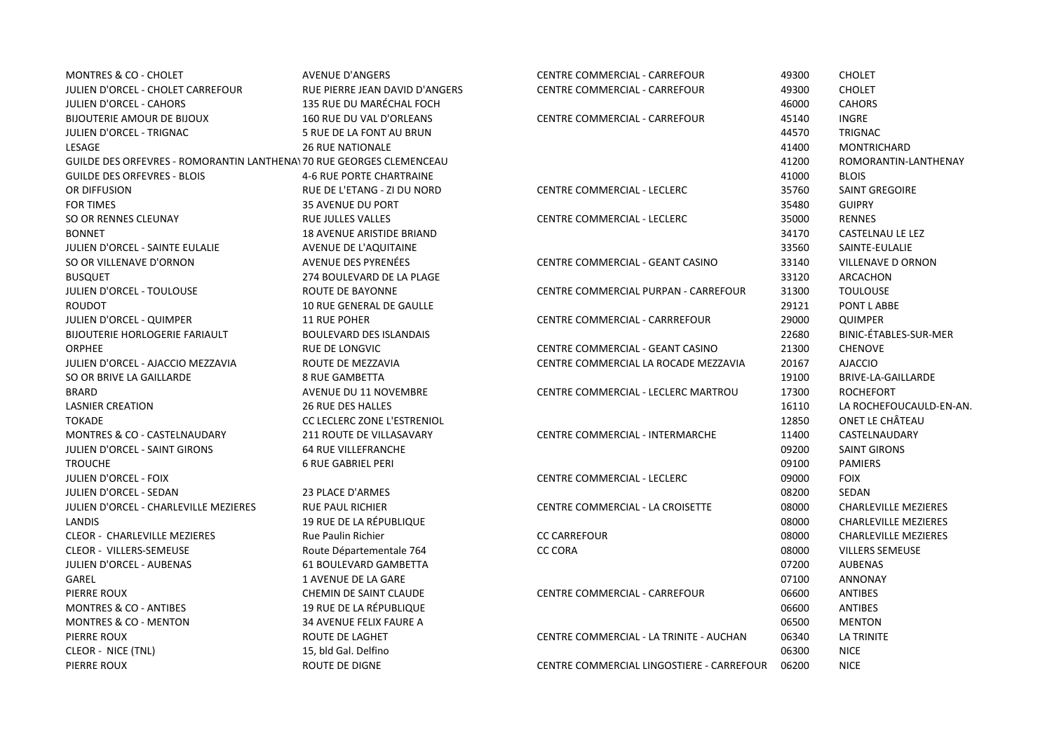| <b>MONTRES &amp; CO - CHOLET</b>                                     | <b>AVENUE D'ANGERS</b>             | CENTRE COMMERCIAL - CARREFOUR             | 49300 | <b>CHOLET</b>               |
|----------------------------------------------------------------------|------------------------------------|-------------------------------------------|-------|-----------------------------|
| JULIEN D'ORCEL - CHOLET CARREFOUR                                    | RUE PIERRE JEAN DAVID D'ANGERS     | CENTRE COMMERCIAL - CARREFOUR             | 49300 | <b>CHOLET</b>               |
| <b>JULIEN D'ORCEL - CAHORS</b>                                       | 135 RUE DU MARÉCHAL FOCH           |                                           | 46000 | <b>CAHORS</b>               |
| <b>BIJOUTERIE AMOUR DE BIJOUX</b>                                    | 160 RUE DU VAL D'ORLEANS           | <b>CENTRE COMMERCIAL - CARREFOUR</b>      | 45140 | <b>INGRE</b>                |
| JULIEN D'ORCEL - TRIGNAC                                             | 5 RUE DE LA FONT AU BRUN           |                                           | 44570 | <b>TRIGNAC</b>              |
| LESAGE                                                               | <b>26 RUE NATIONALE</b>            |                                           | 41400 | <b>MONTRICHARD</b>          |
| GUILDE DES ORFEVRES - ROMORANTIN LANTHENA) 70 RUE GEORGES CLEMENCEAU |                                    |                                           | 41200 | ROMORANTIN-LANTHENAY        |
| <b>GUILDE DES ORFEVRES - BLOIS</b>                                   | <b>4-6 RUE PORTE CHARTRAINE</b>    |                                           | 41000 | <b>BLOIS</b>                |
| OR DIFFUSION                                                         | RUE DE L'ETANG - ZI DU NORD        | CENTRE COMMERCIAL - LECLERC               | 35760 | SAINT GREGOIRE              |
| <b>FOR TIMES</b>                                                     | <b>35 AVENUE DU PORT</b>           |                                           | 35480 | <b>GUIPRY</b>               |
| SO OR RENNES CLEUNAY                                                 | <b>RUE JULLES VALLES</b>           | CENTRE COMMERCIAL - LECLERC               | 35000 | <b>RENNES</b>               |
| <b>BONNET</b>                                                        | 18 AVENUE ARISTIDE BRIAND          |                                           | 34170 | CASTELNAU LE LEZ            |
| JULIEN D'ORCEL - SAINTE EULALIE                                      | AVENUE DE L'AQUITAINE              |                                           | 33560 | SAINTE-EULALIE              |
| SO OR VILLENAVE D'ORNON                                              | AVENUE DES PYRENÉES                | CENTRE COMMERCIAL - GEANT CASINO          | 33140 | <b>VILLENAVE D ORNON</b>    |
| <b>BUSQUET</b>                                                       | 274 BOULEVARD DE LA PLAGE          |                                           | 33120 | ARCACHON                    |
| JULIEN D'ORCEL - TOULOUSE                                            | <b>ROUTE DE BAYONNE</b>            | CENTRE COMMERCIAL PURPAN - CARREFOUR      | 31300 | <b>TOULOUSE</b>             |
| <b>ROUDOT</b>                                                        | 10 RUE GENERAL DE GAULLE           |                                           | 29121 | PONT L ABBE                 |
| JULIEN D'ORCEL - QUIMPER                                             | <b>11 RUE POHER</b>                | CENTRE COMMERCIAL - CARRREFOUR            | 29000 | <b>QUIMPER</b>              |
| <b>BIJOUTERIE HORLOGERIE FARIAULT</b>                                | <b>BOULEVARD DES ISLANDAIS</b>     |                                           | 22680 | BINIC-ÉTABLES-SUR-MER       |
| <b>ORPHEE</b>                                                        | RUE DE LONGVIC                     | CENTRE COMMERCIAL - GEANT CASINO          | 21300 | <b>CHENOVE</b>              |
| JULIEN D'ORCEL - AJACCIO MEZZAVIA                                    | ROUTE DE MEZZAVIA                  | CENTRE COMMERCIAL LA ROCADE MEZZAVIA      | 20167 | <b>AJACCIO</b>              |
| SO OR BRIVE LA GAILLARDE                                             | <b>8 RUE GAMBETTA</b>              |                                           | 19100 | BRIVE-LA-GAILLARDE          |
| <b>BRARD</b>                                                         | AVENUE DU 11 NOVEMBRE              | CENTRE COMMERCIAL - LECLERC MARTROU       | 17300 | <b>ROCHEFORT</b>            |
| <b>LASNIER CREATION</b>                                              | <b>26 RUE DES HALLES</b>           |                                           | 16110 | LA ROCHEFOUCAULD-EN-AN.     |
| <b>TOKADE</b>                                                        | <b>CC LECLERC ZONE L'ESTRENIOL</b> |                                           | 12850 | ONET LE CHÂTEAU             |
| <b>MONTRES &amp; CO - CASTELNAUDARY</b>                              | 211 ROUTE DE VILLASAVARY           | CENTRE COMMERCIAL - INTERMARCHE           | 11400 | CASTELNAUDARY               |
| <b>JULIEN D'ORCEL - SAINT GIRONS</b>                                 | <b>64 RUE VILLEFRANCHE</b>         |                                           | 09200 | <b>SAINT GIRONS</b>         |
| <b>TROUCHE</b>                                                       | <b>6 RUE GABRIEL PERI</b>          |                                           | 09100 | <b>PAMIERS</b>              |
| <b>JULIEN D'ORCEL - FOIX</b>                                         |                                    | <b>CENTRE COMMERCIAL - LECLERC</b>        | 09000 | <b>FOIX</b>                 |
| JULIEN D'ORCEL - SEDAN                                               | 23 PLACE D'ARMES                   |                                           | 08200 | SEDAN                       |
| JULIEN D'ORCEL - CHARLEVILLE MEZIERES                                | <b>RUE PAUL RICHIER</b>            | CENTRE COMMERCIAL - LA CROISETTE          | 08000 | <b>CHARLEVILLE MEZIERES</b> |
| <b>LANDIS</b>                                                        | <b>19 RUE DE LA RÉPUBLIQUE</b>     |                                           | 08000 | <b>CHARLEVILLE MEZIERES</b> |
| <b>CLEOR - CHARLEVILLE MEZIERES</b>                                  | Rue Paulin Richier                 | <b>CC CARREFOUR</b>                       | 08000 | <b>CHARLEVILLE MEZIERES</b> |
| CLEOR - VILLERS-SEMEUSE                                              | Route Départementale 764           | <b>CC CORA</b>                            | 08000 | <b>VILLERS SEMEUSE</b>      |
| JULIEN D'ORCEL - AUBENAS                                             | 61 BOULEVARD GAMBETTA              |                                           | 07200 | <b>AUBENAS</b>              |
| GAREL                                                                | 1 AVENUE DE LA GARE                |                                           | 07100 | <b>ANNONAY</b>              |
| PIERRE ROUX                                                          | CHEMIN DE SAINT CLAUDE             | CENTRE COMMERCIAL - CARREFOUR             | 06600 | ANTIBES                     |
| <b>MONTRES &amp; CO - ANTIBES</b>                                    | 19 RUE DE LA RÉPUBLIQUE            |                                           | 06600 | ANTIBES                     |
| <b>MONTRES &amp; CO - MENTON</b>                                     | 34 AVENUE FELIX FAURE A            |                                           | 06500 | <b>MENTON</b>               |
| PIERRE ROUX                                                          | <b>ROUTE DE LAGHET</b>             | CENTRE COMMERCIAL - LA TRINITE - AUCHAN   | 06340 | <b>LA TRINITE</b>           |
| CLEOR - NICE (TNL)                                                   | 15, bld Gal. Delfino               |                                           | 06300 | <b>NICE</b>                 |
| PIERRE ROUX                                                          | <b>ROUTE DE DIGNE</b>              | CENTRE COMMERCIAL LINGOSTIERE - CARREFOUR | 06200 | <b>NICE</b>                 |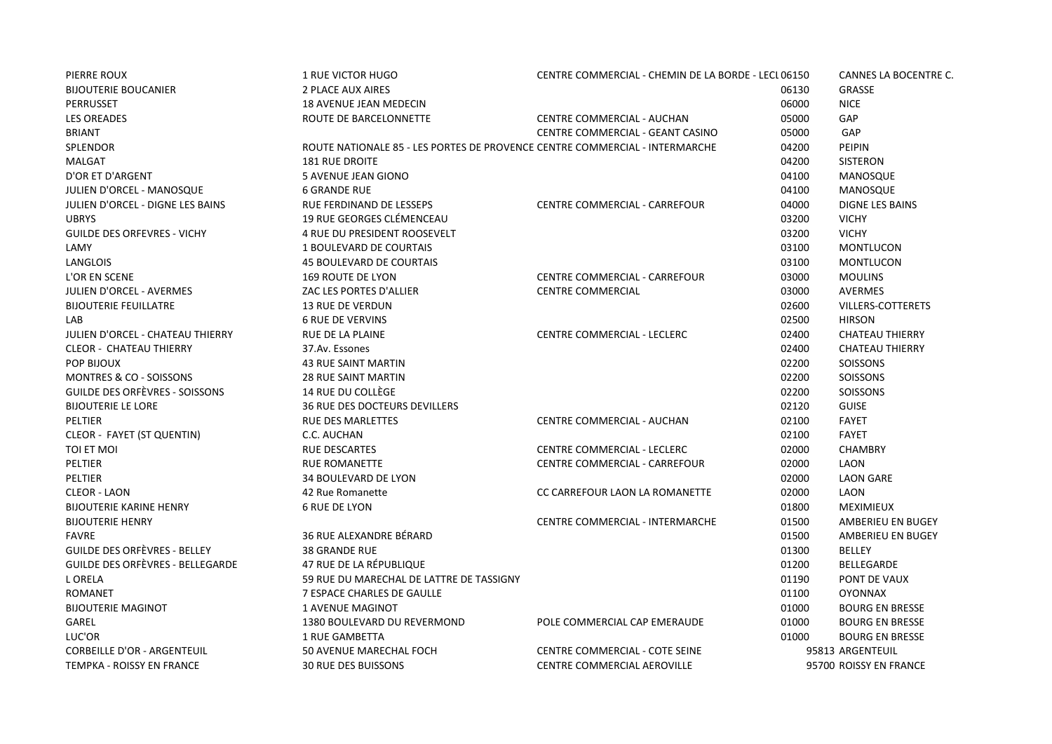| PIERRE ROUX                           | <b>1 RUE VICTOR HUGO</b>                                                    | CENTRE COMMERCIAL - CHEMIN DE LA BORDE - LECL 06150 |       | CANNES LA BOCENTRE C.    |
|---------------------------------------|-----------------------------------------------------------------------------|-----------------------------------------------------|-------|--------------------------|
| <b>BIJOUTERIE BOUCANIER</b>           | 2 PLACE AUX AIRES                                                           |                                                     | 06130 | <b>GRASSE</b>            |
| PERRUSSET                             | 18 AVENUE JEAN MEDECIN                                                      |                                                     | 06000 | <b>NICE</b>              |
| <b>LES OREADES</b>                    | ROUTE DE BARCELONNETTE                                                      | <b>CENTRE COMMERCIAL - AUCHAN</b>                   | 05000 | GAP                      |
| <b>BRIANT</b>                         |                                                                             | CENTRE COMMERCIAL - GEANT CASINO                    | 05000 | GAP                      |
| <b>SPLENDOR</b>                       | ROUTE NATIONALE 85 - LES PORTES DE PROVENCE CENTRE COMMERCIAL - INTERMARCHE |                                                     | 04200 | <b>PEIPIN</b>            |
| MALGAT                                | <b>181 RUE DROITE</b>                                                       |                                                     | 04200 | <b>SISTERON</b>          |
| D'OR ET D'ARGENT                      | 5 AVENUE JEAN GIONO                                                         |                                                     | 04100 | MANOSQUE                 |
| JULIEN D'ORCEL - MANOSQUE             | <b>6 GRANDE RUE</b>                                                         |                                                     | 04100 | MANOSQUE                 |
| JULIEN D'ORCEL - DIGNE LES BAINS      | RUE FERDINAND DE LESSEPS                                                    | CENTRE COMMERCIAL - CARREFOUR                       | 04000 | <b>DIGNE LES BAINS</b>   |
| <b>UBRYS</b>                          | 19 RUE GEORGES CLÉMENCEAU                                                   |                                                     | 03200 | <b>VICHY</b>             |
| <b>GUILDE DES ORFEVRES - VICHY</b>    | <b>4 RUE DU PRESIDENT ROOSEVELT</b>                                         |                                                     | 03200 | <b>VICHY</b>             |
| LAMY                                  | 1 BOULEVARD DE COURTAIS                                                     |                                                     | 03100 | <b>MONTLUCON</b>         |
| <b>LANGLOIS</b>                       | <b>45 BOULEVARD DE COURTAIS</b>                                             |                                                     | 03100 | <b>MONTLUCON</b>         |
| L'OR EN SCENE                         | <b>169 ROUTE DE LYON</b>                                                    | CENTRE COMMERCIAL - CARREFOUR                       | 03000 | <b>MOULINS</b>           |
| <b>JULIEN D'ORCEL - AVERMES</b>       | ZAC LES PORTES D'ALLIER                                                     | <b>CENTRE COMMERCIAL</b>                            | 03000 | <b>AVERMES</b>           |
| <b>BIJOUTERIE FEUILLATRE</b>          | <b>13 RUE DE VERDUN</b>                                                     |                                                     | 02600 | <b>VILLERS-COTTERETS</b> |
| LAB                                   | <b>6 RUE DE VERVINS</b>                                                     |                                                     | 02500 | <b>HIRSON</b>            |
| JULIEN D'ORCEL - CHATEAU THIERRY      | <b>RUE DE LA PLAINE</b>                                                     | <b>CENTRE COMMERCIAL - LECLERC</b>                  | 02400 | <b>CHATEAU THIERRY</b>   |
| <b>CLEOR - CHATEAU THIERRY</b>        | 37.Av. Essones                                                              |                                                     | 02400 | <b>CHATEAU THIERRY</b>   |
| POP BIJOUX                            | <b>43 RUE SAINT MARTIN</b>                                                  |                                                     | 02200 | <b>SOISSONS</b>          |
| MONTRES & CO - SOISSONS               | <b>28 RUE SAINT MARTIN</b>                                                  |                                                     | 02200 | <b>SOISSONS</b>          |
| <b>GUILDE DES ORFÈVRES - SOISSONS</b> | <b>14 RUE DU COLLÈGE</b>                                                    |                                                     | 02200 | SOISSONS                 |
| <b>BIJOUTERIE LE LORE</b>             | <b>36 RUE DES DOCTEURS DEVILLERS</b>                                        |                                                     | 02120 | <b>GUISE</b>             |
| PELTIER                               | <b>RUE DES MARLETTES</b>                                                    | CENTRE COMMERCIAL - AUCHAN                          | 02100 | <b>FAYET</b>             |
| <b>CLEOR - FAYET (ST QUENTIN)</b>     | C.C. AUCHAN                                                                 |                                                     | 02100 | <b>FAYET</b>             |
| TOI ET MOI                            | <b>RUE DESCARTES</b>                                                        | CENTRE COMMERCIAL - LECLERC                         | 02000 | <b>CHAMBRY</b>           |
| PELTIER                               | <b>RUE ROMANETTE</b>                                                        | CENTRE COMMERCIAL - CARREFOUR                       | 02000 | LAON                     |
| <b>PELTIER</b>                        | <b>34 BOULEVARD DE LYON</b>                                                 |                                                     | 02000 | <b>LAON GARE</b>         |
| <b>CLEOR - LAON</b>                   | 42 Rue Romanette                                                            | CC CARREFOUR LAON LA ROMANETTE                      | 02000 | LAON                     |
| <b>BIJOUTERIE KARINE HENRY</b>        | <b>6 RUE DE LYON</b>                                                        |                                                     | 01800 | <b>MEXIMIEUX</b>         |
| <b>BIJOUTERIE HENRY</b>               |                                                                             | CENTRE COMMERCIAL - INTERMARCHE                     | 01500 | AMBERIEU EN BUGEY        |
| <b>FAVRE</b>                          | 36 RUE ALEXANDRE BÉRARD                                                     |                                                     | 01500 | <b>AMBERIEU EN BUGEY</b> |
| <b>GUILDE DES ORFÈVRES - BELLEY</b>   | 38 GRANDE RUE                                                               |                                                     | 01300 | <b>BELLEY</b>            |
| GUILDE DES ORFÈVRES - BELLEGARDE      | 47 RUE DE LA RÉPUBLIQUE                                                     |                                                     | 01200 | <b>BELLEGARDE</b>        |
| L ORELA                               | 59 RUE DU MARECHAL DE LATTRE DE TASSIGNY                                    |                                                     | 01190 | PONT DE VAUX             |
| <b>ROMANET</b>                        | 7 ESPACE CHARLES DE GAULLE                                                  |                                                     | 01100 | <b>OYONNAX</b>           |
| <b>BIJOUTERIE MAGINOT</b>             | 1 AVENUE MAGINOT                                                            |                                                     | 01000 | <b>BOURG EN BRESSE</b>   |
| GAREL                                 | 1380 BOULEVARD DU REVERMOND                                                 | POLE COMMERCIAL CAP EMERAUDE                        | 01000 | <b>BOURG EN BRESSE</b>   |
| LUC'OR                                | 1 RUE GAMBETTA                                                              |                                                     | 01000 | <b>BOURG EN BRESSE</b>   |
| <b>CORBEILLE D'OR - ARGENTEUIL</b>    | 50 AVENUE MARECHAL FOCH                                                     | CENTRE COMMERCIAL - COTE SEINE                      |       | 95813 ARGENTEUIL         |
| <b>TEMPKA - ROISSY EN FRANCE</b>      | <b>30 RUE DES BUISSONS</b>                                                  | CENTRE COMMERCIAL AEROVILLE                         |       | 95700 ROISSY EN FRANCE   |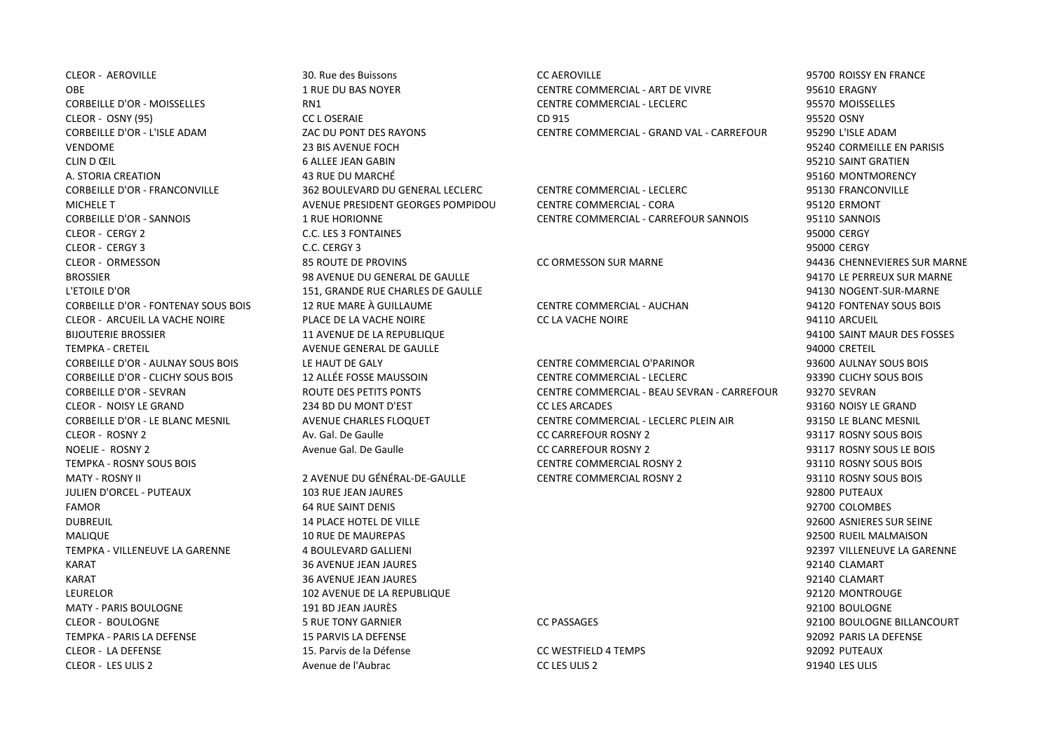CORBEILLE D'OR - L'ISLE ADAM ZAC DU PONT DES RAYONS CENTRE COMMERCIAL - GRAND VAL - CARREFOUR 95290 L'ISLE ADAM VENDOME 23 BIS AVENUE FOCH 95240 CORMEILLE EN PARISIS CLIN D ŒIL 6 ALLEE JEAN GABIN 95210 SAINT GRATIEN A. STORIA CREATION AND REACH AND REACH AND MARCHÉ AND STORIA CHEATH OF STORIA CREATION AND MONTMORENCY AND ANN CORBEILLE D'OR - FRANCONVILLE 362 BOULEVARD DU GENERAL LECLERC CENTRE COMMERCIAL - LECLERC 95130 FRANCONVILLE CLEOR - CERGY 2 C.C. LES 3 FONTAINES AND RESERVED AND RESERVED BY A SERVED OF STATES OF STATES AND RESERVED BY CLEOR - CERGY 3 C.C. CERGY 3 95000 CERGY CLEOR - ORMESSON 85 ROUTE DE PROVINS CC ORMESSON SUR MARNE 94436 CHENNEVIERES SUR MARNE BROSSIER 98 AVENUE DU GENERAL DE GAULLE 94170 LE PERREUX SUR MARNE L'ETOILE D'OR 151, GRANDE RUE CHARLES DE GAULLE 94130 NOGENT-SUR-MARNE CORBEILLE D'OR - FONTENAY SOUS BOIS 12 RUE MARE À GUILLAUME CENTRE COMMERCIAL - AUCHAN 94120 FONTENAY SOUS BOIS CLEOR - ARCUEIL LA VACHE NOIRE PLACE DE LA VACHE NOIRE CC LA VACHE NOIRE 94110 ARCUEIL BIJOUTERIE BROSSIER CONSIDERT EN AVENUE DE LA REPUBLIQUE CONSIDERATION EN CONSIDERATION DES FOSSES EN ANNE DES FOSSES TEMPKA - CRETEIL AVENUE GENERAL DE GAULLE 94000 CRETEIL JULIEN D'ORCEL - PUTEAUX 103 RUE JEAN JAURES 92800 PUTEAUX FAMOR 64 RUE SAINT DENIS 92700 COLOMBES DUBREUIL 14 PLACE HOTEL DE VILLE 92600 ASNIERES SUR SEINE MALIQUE 10 RUE DE MAUREPAS 92500 RUEIL MALMAISON TEMPKA - VILLENEUVE LA GARENNE 4 BOULEVARD GALLIENI 92397 VILLENEUVE LA GARENNE KARAT 36 AVENUE JEAN JAURES 92140 CLAMART KARAT 36 AVENUE JEAN JAURES 92140 CLAMART LEURELOR 102 AVENUE DE LA REPUBLIQUE 92120 MONTROUGE MATY - PARIS BOULOGNE 191 BD JEAN JAURÈS 92100 BOULOGNE CLEOR - BOULOGNE 5 RUE TONY GARNIER CC PASSAGES 92100 BOULOGNE BILLANCOURT TEMPKA - PARIS LA DEFENSE 15 PARVIS LA DEFENSE 92092 PARIS LA DEFENSE CLEOR - LA DEFENSE 15. Parvis de la Défense CC WESTFIELD 4 TEMPS 92092 PUTEAUX

CLEOR - LES ULIS 2 Avenue de l'Aubrac CC LES ULIS 2 91940 LES ULIS

CLEOR - AEROVILLE 30. Rue des Buissons CC AEROVILLE 95700 ROISSY EN FRANCE OBE 1 RUE DU BAS NOYER CENTRE COMMERCIAL - ART DE VIVRE 95610 ERAGNY CORBEILLE D'OR - MOISSELLES RN1 CENTRE COMMERCIAL - LECLERC 95570 MOISSELLES CLEOR - OSNY (95) CC L OSERAIE CD 915 95520 OSNY

MICHELE T THE STATE OF AVENUE PRESIDENT GEORGES POMPIDOU CENTRE COMMERCIAL - CORA 95120 ERMONT CORBEILLE D'OR - SANNOIS 1 RUE HORIONNE CENTRE COMMERCIAL - CARREFOUR SANNOIS 95110 SANNOIS

CORBEILLE D'OR - AULNAY SOUS BOIS LE HAUT DE GALY CENTRE COMMERCIAL O'PARINOR 93600 AULNAY SOUS BOIS CORBEILLE D'OR - CLICHY SOUS BOIS 12 ALLÉE FOSSE MAUSSOIN CENTRE COMMERCIAL - LECLERC 93390 CLICHY SOUS BOIS CORBEILLE D'OR - SEVRAN ROUTE DES PETITS PONTS CENTRE COMMERCIAL - BEAU SEVRAN - CARREFOUR 93270 SEVRAN CLEOR - NOISY LE GRAND 234 BD DU MONT D'EST CC LES ARCADES 93160 NOISY LE GRAND CORBEILLE D'OR - LE BLANC MESNIL AVENUE CHARLES FLOQUET CENTRE COMMERCIAL - LECLERC PLEIN AIR 93150 LE BLANC MESNIL CLEOR - ROSNY 2 Av. Gal. De Gaulle CC CARREFOUR ROSNY 2 93117 ROSNY SOUS BOIS NOELIE - ROSNY 2 Avenue Gal. De Gaulle CC CARREFOUR ROSNY 2 93117 ROSNY SOUS LE BOIS TEMPKA - ROSNY SOUS BOIS CENTRE COMMERCIAL ROSNY 2 93110 ROSNY SOUS BOIS MATY - ROSNY II 2 AVENUE DU GÉNÉRAL-DE-GAULLE CENTRE COMMERCIAL ROSNY 2 93110 ROSNY SOUS BOIS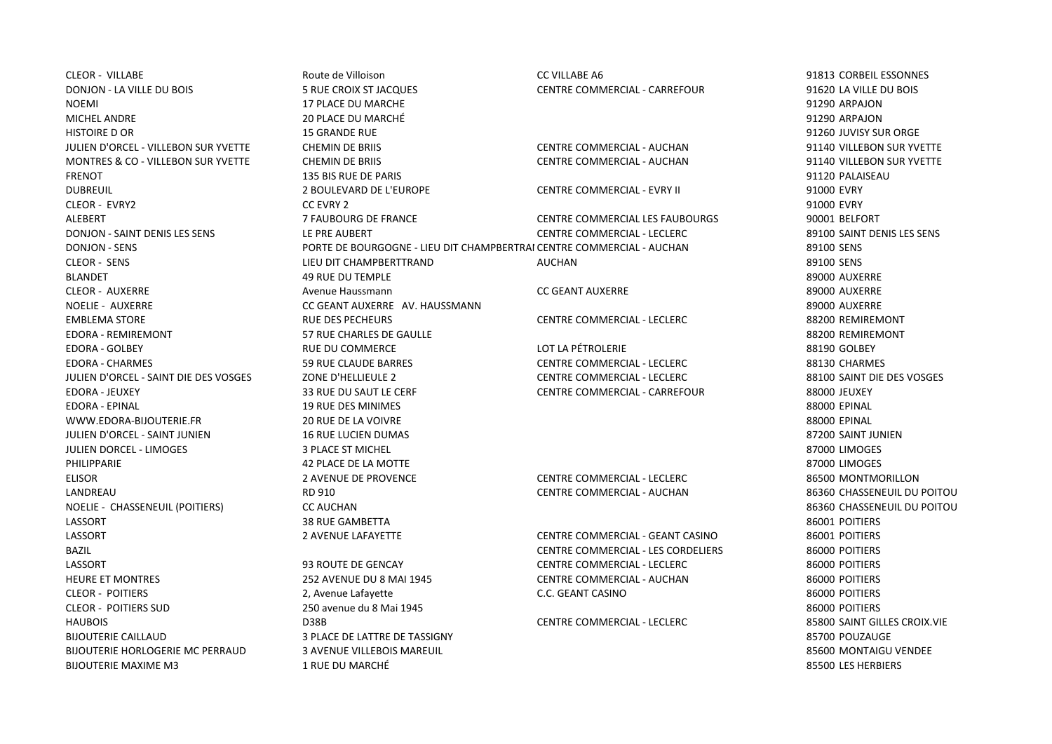BIJOUTERIE CAILLAUD 3 PLACE DE LATTRE DE TASSIGNY 85700 POUZAUGE BIJOUTERIE HORLOGERIE MC PERRAUD 3 AVENUE VILLEBOIS MAREUIL SERVICE SUBSEXUES EN LA SERVICE SON MONTAIGU VENDEE BIJOUTERIE MAXIME M3 1 RUE DU MARCHÉ 85500 LES HERBIERS

CLEOR - VILLABE Route de Villoison CC VILLABE A6 91813 CORBEIL ESSONNES DONJON - LA VILLE DU BOIS 5 RUE CROIX ST JACQUES CENTRE COMMERCIAL - CARREFOUR 91620 LA VILLE DU BOIS NOEMI 17 PLACE DU MARCHE 91290 ARPAJON MICHEL ANDRE 20 PLACE DU MARCHÉ 91290 ARPAJON HISTOIRE D OR 15 GRANDE RUE 91260 JUVISY SUR ORGE JULIEN D'ORCEL - VILLEBON SUR YVETTE CHEMIN DE BRIIS CENTRE COMMERCIAL - AUCHAN 91140 VILLEBON SUR YVETTE MONTRES & CO - VILLEBON SUR YVETTE CHEMIN DE BRIIS CENTRE COMMERCIAL - AUCHAN 91140 VILLEBON SUR YVETTE FRENOT 135 BIS RUE DE PARIS 91120 PALAISEAU DUBREUIL 2 BOULEVARD DE L'EUROPE CENTRE COMMERCIAL - EVRY II 91000 EVRY CLEOR - EVRY2 CC EVRY 2 91000 EVRY ALEBERT 7 FAUBOURG DE FRANCE CENTRE COMMERCIAL LES FAUBOURGS 90001 BELFORT DONJON - SAINT DENIS LES SENS LE PRE AUBERT CENTRE COMMERCIAL - LECLERC 89100 SAINT DENIS LES SENS DONJON - SENS PORTE DE BOURGOGNE - LIEU DIT CHAMPBERTRAI CENTRE COMMERCIAL - AUCHAN 89100 SENS CLEOR - SENS LIEU DIT CHAMPBERTTRAND AUCHAN 89100 SENS BLANDET 49 RUE DU TEMPLE 89000 AUXERRE CLEOR - AUXERRE **Avenue Haussmann** Avenue Haussmann CC GEANT AUXERRE Auxtralianum Baggior Auxerre 89000 AUXERRE NOELIE - AUXERRE CC GEANT AUXERRE AV. HAUSSMANN 89000 AUXERRE EMBLEMA STORE RUE DES PECHEURS CENTRE COMMERCIAL - LECLERC 88200 REMIREMONT EDORA - REMIREMONT 57 RUE CHARLES DE GAULLE 88200 REMIREMONT EDORA - GOLBEY RUE DU COMMERCE LOT LA PÉTROLERIE 88190 GOLBEY EDORA - CHARMES 59 RUE CLAUDE BARRES CENTRE COMMERCIAL - LECLERC 88130 CHARMES JULIEN D'ORCEL - SAINT DIE DES VOSGES ZONE D'HELLIEULE 2 CENTRE COMMERCIAL - LECLERC 88100 SAINT DIE DES VOSGES EDORA - JEUXEY 33 RUE DU SAUT LE CERF CENTRE COMMERCIAL - CARREFOUR 88000 JEUXEY EDORA - EPINAL 19 RUE DES MINIMES 88000 EPINAL WWW.EDORA-BIJOUTERIE.FR 20 RUE DE LA VOIVRE AND A SECOND ACCOMPTED AND RESERVE AND RESERVE AND RESERVE AND RESERVE AND RESERVE AND RESERVE AND RESERVE AND RESERVE AND RESERVE AND RESERVE AND RESERVE AND RESERVE AND RESERVE JULIEN D'ORCEL - SAINT JUNIEN 16 RUE LUCIEN DUMAS 87200 SAINT JUNIEN JULIEN DORCEL - LIMOGES 3 PLACE ST MICHEL 87000 LIMOGES PHILIPPARIE CHANNIE AND SERVICE DE LA MOTTE CHANNEL SUR LA MOTTE SERVICE SURFACE DE LA MOTTE STRUMENT DE LA MO ELISOR 2 AVENUE DE PROVENCE CENTRE COMMERCIAL - LECLERC 86500 MONTMORILLON LANDREAU RD 910 CENTRE COMMERCIAL - AUCHAN 86360 CHASSENEUIL DU POITOU NOELIE - CHASSENEUIL (POITIERS) CC AUCHAN 86360 CHASSENEUIL DU POITOU LASSORT 38 RUE GAMBETTA 86001 POITIERS LASSORT 2 AVENUE LAFAYETTE CENTRE COMMERCIAL - GEANT CASINO 86001 POITIERS BAZIL CENTRE COMMERCIAL - LES CORDELIERS 86000 POITIERS LASSORT 93 ROUTE DE GENCAY CENTRE COMMERCIAL - LECLERC 86000 POITIERS HEURE ET MONTRES 252 AVENUE DU 8 MAI 1945 CENTRE COMMERCIAL - AUCHAN 86000 POITIERS CLEOR - POITIERS 2, Avenue Lafayette C.C. GEANT CASINO 86000 POITIERS CLEOR - POITIERS SUD 250 avenue du 8 Mai 1945 86000 POITIERS HAUBOIS D38B CENTRE COMMERCIAL - LECLERC 85800 SAINT GILLES CROIX.VIE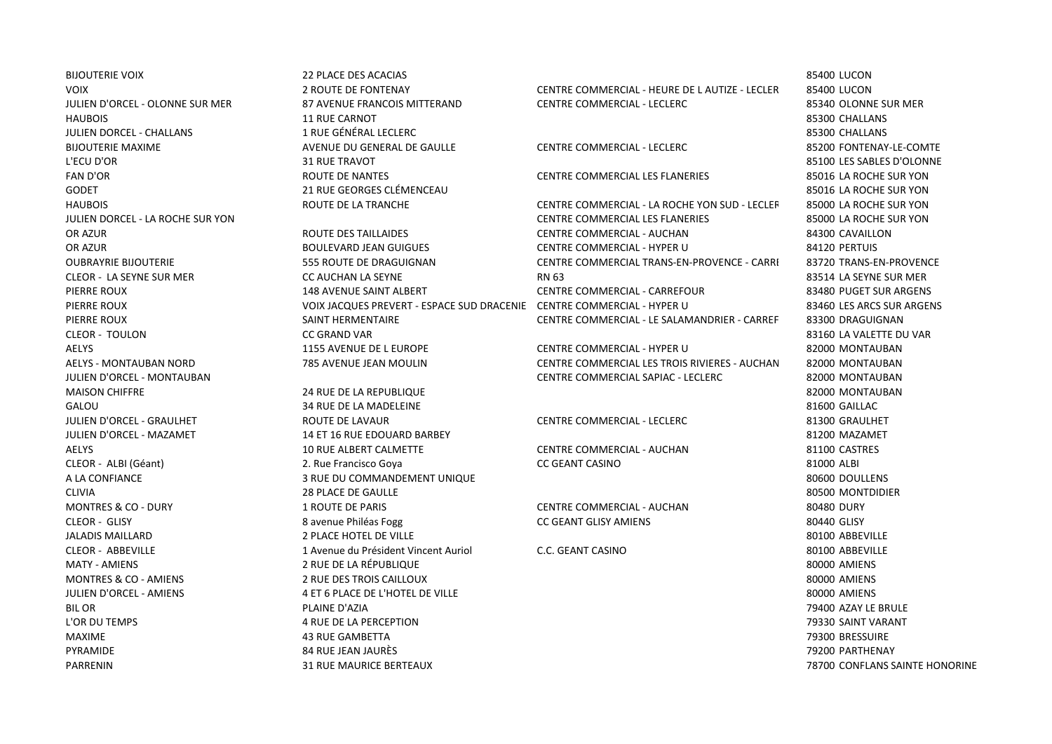BIJOUTERIE VOIX 22 PLACE DES ACACIAS 85400 LUCON HAUBOIS 11 RUE CARNOT 85300 CHALLANS JULIEN DORCEL - CHALLANS 1 RUE GÉNÉRAL LECLERC 85300 CHALLANS BIJOUTERIE MAXIME COMPRESSIONE AVENUE DU GENERAL DE GAULLE CENTRE COMMERCIAL - LECLERC COMPRESSIONENTENAY-LE-COMTE L'ECU D'OR 31 RUE TRAVOT 85100 LES SABLES D'OLONNE FAN D'OR ROUTE DE NANTES CENTRE COMMERCIAL LES FLANERIES 85016 LA ROCHE SUR YON GODET CONFERENCE AND RESOURCES CLÉMENCEAU CONFERENCE AND RESOURCES ON A SECOND SECOND SECOND BESOUR YOU. MAISON CHIFFRE 2000 NONTAURAN 2018 12 RUE DE LA REPUBLIQUE 24 RUE DE LA REPUBLIQUE

CLEOR - TOULON CC GRAND VAR 83160 LA VALETTE DU VAR AELYS 1155 AVENUE DE L EUROPE CENTRE COMMERCIAL - HYPER U 82000 MONTAUBAN

GALOU 34 RUE DE LA MADELEINE SERVICE SUBSEX AND SALOU SALOU JULIEN D'ORCEL - GRAULHET ROUTE DE LAVAUR CENTRE COMMERCIAL - LECLERC 81300 GRAULHET JULIEN D'ORCEL - MAZAMET 14 ET 16 RUE EDOUARD BARBEY 81200 MAZAMET AELYS 10 RUE ALBERT CALMETTE CENTRE COMMERCIAL - AUCHAN 81100 CASTRES CLEOR - ALBI (Géant) 2. Rue Francisco Goya CC GEANT CASINO 81000 ALBI A LA CONFIANCE SOGOD DOULLENS 3 RUE DU COMMANDEMENT UNIQUE SOGOD DOULLENS AND RESERVE AND RESERVE AND RESERVE AND RESERVE AND RESERVE AND RESERVE AND RESERVE AND RESERVE AND RESERVE AND RESERVE AND RESERVE AND RESERVE AND CLIVIA 28 PLACE DE GAULLE 80500 MONTDIDIER MONTRES & CO - DURY 1 ROUTE DE PARIS CENTRE COMMERCIAL - AUCHAN 80480 DURY CLEOR - GLISY 8 avenue Philéas Fogg CC GEANT GLISY AMIENS 80440 GLISY JALADIS MAILLARD 2 PLACE HOTEL DE VILLE 80100 ABBEVILLE CLEOR - ABBEVILLE 1 Avenue du Président Vincent Auriol C.C. GEANT CASINO 80100 ABBEVILLE MATY - AMIENS 2 RUE DE LA RÉPUBLIQUE 80000 AMIENS MONTRES & CO - AMIENS 2 RUE DES TROIS CAILLOUX 80000 AMIENS JULIEN D'ORCEL - AMIENS 4 ET 6 PLACE DE L'HOTEL DE VILLE 80000 AMIENS BIL OR PLAINE D'AZIA 79400 AZAY LE BRULE L'OR DU TEMPS 4 RUE DE LA PERCEPTION 79330 SAINT VARANT MAXIME 43 RUE GAMBETTA 79300 BRESSUIRE PYRAMIDE 84 RUE JEAN JAURÈS 79200 PARTHENAY PARRENIN 31 RUE MAURICE BERTEAUX 78700 CONFLANS SAINTE HONORINE

VOIX CENTRE COMMERCIAL - HEURE DE LAUTIZE - LECLER 85400 LUCON JULIEN D'ORCEL - OLONNE SUR MER 87 AVENUE FRANCOIS MITTERAND CENTRE COMMERCIAL - LECLERC 85340 OLONNE SUR MER

HAUBOIS **EXAMPLE DE LA TRANCHE CENTRE COMMERCIAL** - LA ROCHE YON SUD - LECLER 85000 LA ROCHE SUR YON JULIEN DORCEL - LA ROCHE SUR YON CENTRE COMMERCIAL LES FLANERIES 85000 LA ROCHE SUR YON OR AZUR ROUTE DES TAILLAIDES CENTRE COMMERCIAL - AUCHAN 84300 CAVAILLON OR AZUR BOULEVARD JEAN GUIGUES CENTRE COMMERCIAL - HYPER U 84120 PERTUIS OUBRAYRIE BIJOUTERIE **1990 ESS ROUTE DE DRAGUIGNAN CENTRE COMMERCIAL TRANS-EN-PROVENCE - CARRIFT 198720 TRANS-EN-PROVENCE** CLEOR - LA SEYNE SUR MER CC AUCHAN LA SEYNE RN 63 83514 LA SEYNE SUR MER PIERRE ROUX 148 AVENUE SAINT ALBERT CENTRE COMMERCIAL - CARREFOUR 83480 PUGET SUR ARGENS PIERRE ROUX VOIX JACQUES PREVERT - ESPACE SUD DRACENIE CENTRE COMMERCIAL - HYPER U 83460 LES ARCS SUR ARGENS PIERRE ROUX **SAINT HERMENTAIRE CENTRE COMMERCIAL - LE SALAMANDRIER - CARREF** 83300 DRAGUIGNAN

AELYS - MONTAUBAN NORD 785 AVENUE JEAN MOULIN CENTRE COMMERCIAL LES TROIS RIVIERES - AUCHAN 82000 MONTAUBAN JULIEN D'ORCEL - MONTAUBAN CENTRE COMMERCIAL SAPIAC - LECLERC 82000 MONTAUBAN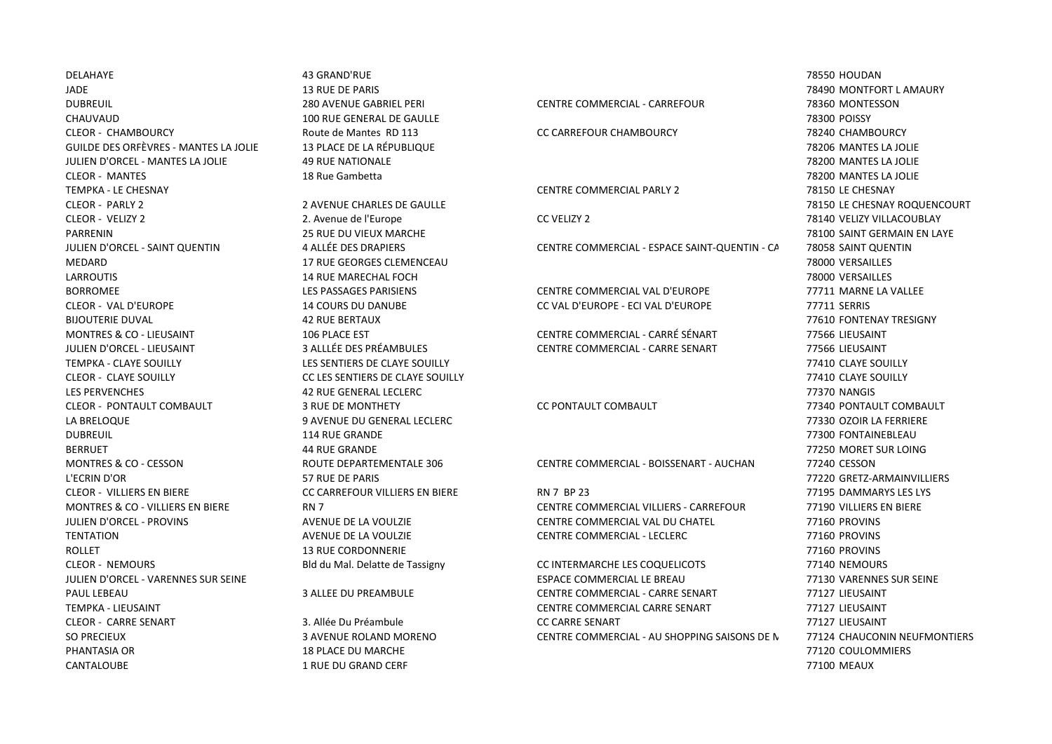DELAHAYE 43 GRAND'RUE 78550 HOUDAN PHANTASIA OR 18 PLACE DU MARCHE 18 PLACE DU MARCHE 1999 ANN 18 PLACE DU MARCHE 1999 ANN 18 PLACE DU MARCHE 199 CANTALOUBE 1 RUE DU GRAND CERF 77100 MEAUX

JADE 13 RUE DE PARIS 78490 MONTFORT L AMAURY DUBREUIL 280 AVENUE GABRIEL PERI CENTRE COMMERCIAL - CARREFOUR 78360 MONTESSON CHAUVAUD 100 RUE GENERAL DE GAULLE 78300 POISSY CLEOR - CHAMBOURCY Route de Mantes RD 113 CC CARREFOUR CHAMBOURCY 78240 CHAMBOURCY GUILDE DES ORFÈVRES - MANTES LA JOLIE 13 PLACE DE LA RÉPUBLIQUE 78206 MANTES LA JOLIE JULIEN D'ORCEL - MANTES LA JOLIE 49 RUE NATIONALE 78200 MANTES LA JOLIE CLEOR - MANTES 18 Rue Gambetta 78200 MANTES LA JOLIE TEMPKA - LE CHESNAY CENTRE COMMERCIAL PARLY 2 78150 LE CHESNAY CLEOR - PARLY 2 2 AVENUE CHARLES DE GAULLE 78150 LE CHESNAY ROQUENCOURT CLEOR - VELIZY 2 2. Avenue de l'Europe CC VELIZY 2 78140 VELIZY VILLACOUBLAY PARRENIN 25 RUE DU VIEUX MARCHE 78100 SAINT GERMAIN EN LAYE JULIEN D'ORCEL - SAINT QUENTIN 4 ALLÉE DES DRAPIERS CENTRE COMMERCIAL - ESPACE SAINT-QUENTIN - CARRESTON 78058 SAINT QUENTIN MEDARD 17 RUE GEORGES CLEMENCEAU 78000 VERSAILLES LARROUTIS 14 RUE MARECHAL FOCH 78000 VERSAILLES BORROMEE LES PASSAGES PARISIENS CENTRE COMMERCIAL VAL D'EUROPE 77711 MARNE LA VALLEE CLEOR - VAL D'EUROPE 14 COURS DU DANUBE CC VAL D'EUROPE - ECI VAL D'EUROPE 77711 SERRIS BIJOUTERIE DUVAL 42 RUE BERTAUX 77610 FONTENAY TRESIGNY MONTRES & CO - LIEUSAINT 106 PLACE EST CENTRE COMMERCIAL - CARRÉ SÉNART 77566 LIEUSAINT JULIEN D'ORCEL - LIEUSAINT 3 ALLLÉE DES PRÉAMBULES CENTRE COMMERCIAL - CARRE SENART 77566 LIEUSAINT TEMPKA - CLAYE SOUILLY LES SENTIERS DE CLAYE SOUILLY 77410 CLAYE SOUILLY CLEOR - CLAYE SOUILLY CC LES SENTIERS DE CLAYE SOUILLY 77410 CLAYE SOUILLY LES PERVENCHES 42 RUE GENERAL LECLERC 77370 NANGIS CLEOR - PONTAULT COMBAULT 3 RUE DE MONTHETY CC PONTAULT COMBAULT 77340 PONTAULT COMBAULT LA BRELOQUE 9 AVENUE DU GENERAL LECLERC 77330 OZOIR LA FERRIERE DUBREUIL 114 RUE GRANDE 77300 FONTAINEBLEAU BERRUET 44 RUE GRANDE 77250 MORET SUR LOING MONTRES & CO - CESSON ROUTE DEPARTEMENTALE 306 CENTRE COMMERCIAL - BOISSENART - AUCHAN 77240 CESSON L'ECRIN D'OR 57 RUE DE PARIS 77220 GRETZ-ARMAINVILLIERS CLEOR - VILLIERS EN BIERE CC CARREFOUR VILLIERS EN BIERE RN 7 BP 23 77195 DAMMARYS LES LYS MONTRES & CO - VILLIERS EN BIERE RN 7 CENTRE COMMERCIAL VILLIERS - CARREFOUR 77190 VILLIERS EN BIERE JULIEN D'ORCEL - PROVINS AVENUE DE LA VOULZIE CENTRE COMMERCIAL VAL DU CHATEL 77160 PROVINS TENTATION AVENUE DE LA VOULZIE CENTRE COMMERCIAL - LECLERC 77160 PROVINS ROLLET 13 RUE CORDONNERIE 77160 PROVINS CLEOR - NEMOURS Bld du Mal. Delatte de Tassigny CC INTERMARCHE LES COQUELICOTS 77140 NEMOURS

JULIEN D'ORCEL - VARENNES SUR SEINE ESPACE COMMERCIAL LE BREAU 77130 VARENNES SUR SEINE PAUL LEBEAU 3 ALLEE DU PREAMBULE CENTRE COMMERCIAL - CARRE SENART 77127 LIEUSAINT TEMPKA - LIEUSAINT CENTRE COMMERCIAL CARRE SENART 77127 LIEUSAINT CLEOR - CARRE SENART 3. Allée Du Préambule CC CARRE SENART 77127 LIEUSAINT SO PRECIEUX SO PRECIEUX SO EN ELEMENTERS SAVENUE ROLAND MORENO CENTRE COMMERCIAL - AU SHOPPING SAISONS DE NAPAUX - AUCHAN 77124 CHAUCONIN NEUFMONTIERS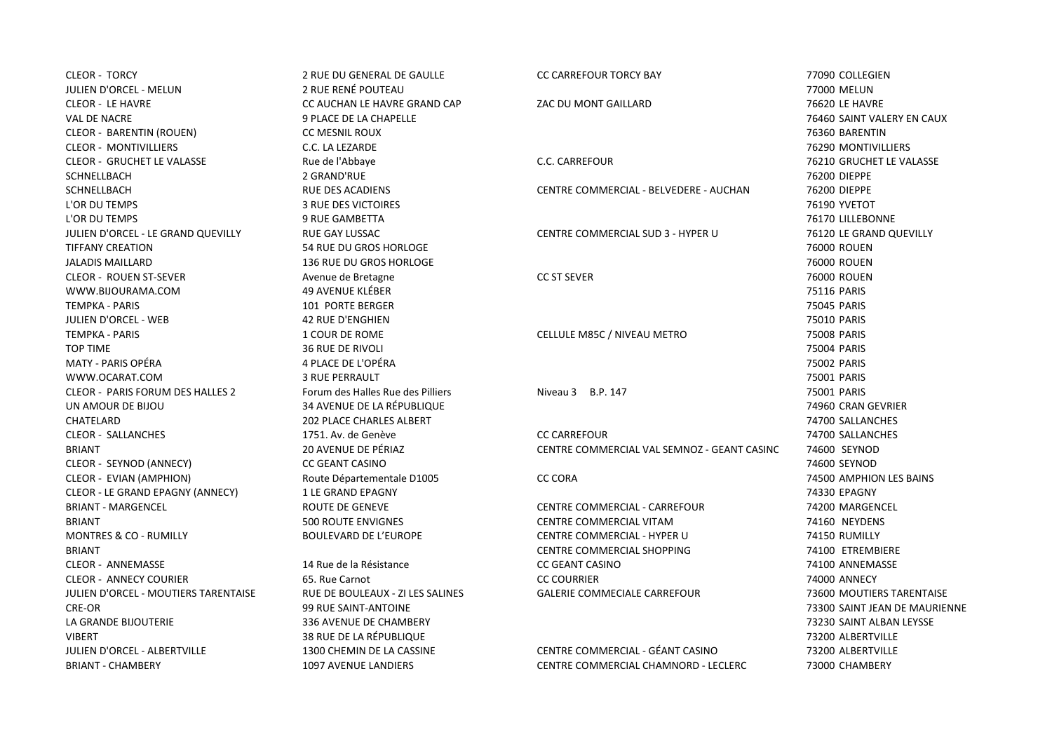| <b>CLEOR - TORCY</b>                    | 2 RUE DU GENERAL DE GAULLE        | <b>CC CARREFOUR TORCY BAY</b>               | 77090 COLLEGIEN               |
|-----------------------------------------|-----------------------------------|---------------------------------------------|-------------------------------|
| JULIEN D'ORCEL - MELUN                  | 2 RUE RENÉ POUTEAU                |                                             | 77000 MELUN                   |
| <b>CLEOR - LE HAVRE</b>                 | CC AUCHAN LE HAVRE GRAND CAP      | ZAC DU MONT GAILLARD                        | 76620 LE HAVRE                |
| <b>VAL DE NACRE</b>                     | 9 PLACE DE LA CHAPELLE            |                                             | 76460 SAINT VALERY EN CAUX    |
| <b>CLEOR - BARENTIN (ROUEN)</b>         | CC MESNIL ROUX                    |                                             | 76360 BARENTIN                |
| <b>CLEOR - MONTIVILLIERS</b>            | C.C. LA LEZARDE                   |                                             | 76290 MONTIVILLIERS           |
| <b>CLEOR - GRUCHET LE VALASSE</b>       | Rue de l'Abbaye                   | C.C. CARREFOUR                              | 76210 GRUCHET LE VALASSE      |
| <b>SCHNELLBACH</b>                      | 2 GRAND'RUE                       |                                             | 76200 DIEPPE                  |
| SCHNELLBACH                             | <b>RUE DES ACADIENS</b>           | CENTRE COMMERCIAL - BELVEDERE - AUCHAN      | 76200 DIEPPE                  |
| L'OR DU TEMPS                           | <b>3 RUE DES VICTOIRES</b>        |                                             | 76190 YVETOT                  |
| L'OR DU TEMPS                           | <b>9 RUE GAMBETTA</b>             |                                             | 76170 LILLEBONNE              |
| JULIEN D'ORCEL - LE GRAND QUEVILLY      | RUE GAY LUSSAC                    | CENTRE COMMERCIAL SUD 3 - HYPER U           | 76120 LE GRAND QUEVILLY       |
| <b>TIFFANY CREATION</b>                 | 54 RUE DU GROS HORLOGE            |                                             | 76000 ROUEN                   |
| <b>JALADIS MAILLARD</b>                 | 136 RUE DU GROS HORLOGE           |                                             | 76000 ROUEN                   |
| <b>CLEOR - ROUEN ST-SEVER</b>           | Avenue de Bretagne                | <b>CC ST SEVER</b>                          | 76000 ROUEN                   |
| WWW.BIJOURAMA.COM                       | <b>49 AVENUE KLÉBER</b>           |                                             | 75116 PARIS                   |
| <b>TEMPKA - PARIS</b>                   | 101 PORTE BERGER                  |                                             | 75045 PARIS                   |
| JULIEN D'ORCEL - WEB                    | <b>42 RUE D'ENGHIEN</b>           |                                             | 75010 PARIS                   |
| <b>TEMPKA - PARIS</b>                   | 1 COUR DE ROME                    | CELLULE M85C / NIVEAU METRO                 | 75008 PARIS                   |
| <b>TOP TIME</b>                         | <b>36 RUE DE RIVOLI</b>           |                                             | 75004 PARIS                   |
| <b>MATY - PARIS OPÉRA</b>               | 4 PLACE DE L'OPÉRA                |                                             | 75002 PARIS                   |
| WWW.OCARAT.COM                          | <b>3 RUE PERRAULT</b>             |                                             | 75001 PARIS                   |
| <b>CLEOR - PARIS FORUM DES HALLES 2</b> | Forum des Halles Rue des Pilliers | Niveau 3 B.P. 147                           | 75001 PARIS                   |
| UN AMOUR DE BIJOU                       | 34 AVENUE DE LA RÉPUBLIQUE        |                                             | 74960 CRAN GEVRIER            |
| CHATELARD                               | <b>202 PLACE CHARLES ALBERT</b>   |                                             | 74700 SALLANCHES              |
| <b>CLEOR - SALLANCHES</b>               | 1751. Av. de Genève               | <b>CC CARREFOUR</b>                         | 74700 SALLANCHES              |
| <b>BRIANT</b>                           | 20 AVENUE DE PÉRIAZ               | CENTRE COMMERCIAL VAL SEMNOZ - GEANT CASINC | 74600 SEYNOD                  |
| CLEOR - SEYNOD (ANNECY)                 | CC GEANT CASINO                   |                                             | 74600 SEYNOD                  |
| CLEOR - EVIAN (AMPHION)                 | Route Départementale D1005        | <b>CC CORA</b>                              | 74500 AMPHION LES BAINS       |
| CLEOR - LE GRAND EPAGNY (ANNECY)        | 1 LE GRAND EPAGNY                 |                                             | 74330 EPAGNY                  |
| <b>BRIANT - MARGENCEL</b>               | <b>ROUTE DE GENEVE</b>            | CENTRE COMMERCIAL - CARREFOUR               | 74200 MARGENCEL               |
| <b>BRIANT</b>                           | <b>500 ROUTE ENVIGNES</b>         | CENTRE COMMERCIAL VITAM                     | 74160 NEYDENS                 |
| <b>MONTRES &amp; CO - RUMILLY</b>       | <b>BOULEVARD DE L'EUROPE</b>      | CENTRE COMMERCIAL - HYPER U                 | 74150 RUMILLY                 |
| <b>BRIANT</b>                           |                                   | CENTRE COMMERCIAL SHOPPING                  | 74100 ETREMBIERE              |
| <b>CLEOR - ANNEMASSE</b>                | 14 Rue de la Résistance           | <b>CC GEANT CASINO</b>                      | 74100 ANNEMASSE               |
| <b>CLEOR - ANNECY COURIER</b>           | 65. Rue Carnot                    | <b>CC COURRIER</b>                          | 74000 ANNECY                  |
| JULIEN D'ORCEL - MOUTIERS TARENTAISE    | RUE DE BOULEAUX - ZI LES SALINES  | GALERIE COMMECIALE CARREFOUR                | 73600 MOUTIERS TARENTAISE     |
| CRE-OR                                  | 99 RUE SAINT-ANTOINE              |                                             | 73300 SAINT JEAN DE MAURIENNE |
| LA GRANDE BIJOUTERIE                    | 336 AVENUE DE CHAMBERY            |                                             | 73230 SAINT ALBAN LEYSSE      |
| <b>VIBERT</b>                           | 38 RUE DE LA RÉPUBLIQUE           |                                             | 73200 ALBERTVILLE             |
| <b>JULIEN D'ORCEL - ALBERTVILLE</b>     | 1300 CHEMIN DE LA CASSINE         | CENTRE COMMERCIAL - GÉANT CASINO            | 73200 ALBERTVILLE             |
| <b>BRIANT - CHAMBERY</b>                | <b>1097 AVENUE LANDIERS</b>       | CENTRE COMMERCIAL CHAMNORD - LECLERC        | 73000 CHAMBERY                |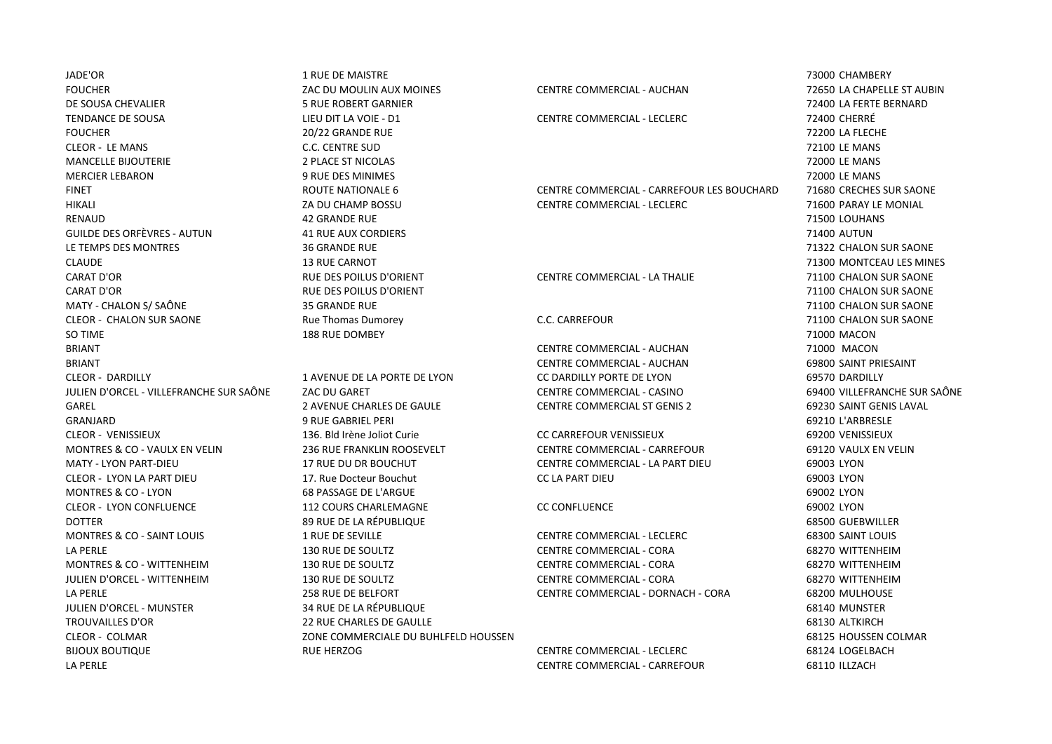JADE'OR 1 RUE DE MAISTRE 73000 CHAMBERY FOUCHER ZAC DU MOULIN AUX MOINES CENTRE COMMERCIAL - AUCHAN 72650 LA CHAPELLE ST AUBIN DE SOUSA CHEVALIER 5 RUE ROBERT GARNIER 72400 LA FERTE BERNARD TENDANCE DE SOUSA LIEU DIT LA VOIE - D1 CENTRE COMMERCIAL - LECLERC 72400 CHERRÉ FOUCHER 20/22 GRANDE RUE 72200 LA FLECHE CLEOR - LE MANS C.C. CENTRE SUD 72100 LE MANS MANCELLE BIJOUTERIE 2 PLACE ST NICOLAS 72000 LE MANS MERCIER LEBARON 9 RUE DES MINIMES 72000 LE MANS RENAUD 42 GRANDE RUE 71500 LOUHANS GUILDE DES ORFÈVRES - AUTUN 41 RUE AUX CORDIERS 71400 AUTUN LE TEMPS DES MONTRES 36 GRANDE RUE 71322 CHALON SUR SAONE CLAUDE **13 RUE CARNOT** 13 RUE CARNOT CARAT D'OR RUE DES POILUS D'ORIENT CENTRE COMMERCIAL - LA THALIE 71100 CHALON SUR SAONE CARAT D'OR RUE DES POILUS D'ORIENT 71100 CHALON SUR SAONE MATY - CHALON S/ SAÔNE 25 GRANDE RUE 35 GRANDE RUE 2007 - 21100 CHALON SUR SAONE CLEOR - CHALON SUR SAONE Rue Thomas Dumorey C.C. CARREFOUR 71100 CHALON SUR SAONE SO TIME 188 RUE DOMBEY 71000 MACON BRIANT CENTRE COMMERCIAL - AUCHAN 71000 MACON BRIANT CENTRE COMMERCIAL - AUCHAN 69800 SAINT PRIESAINT LA PERLE CENTRE COMMERCIAL - CARREFOUR 68110 ILLZACH

CLEOR - DARDILLY 1 AVENUE DE LA PORTE DE LYON CC DARDILLY PORTE DE LYON 69570 DARDILLY JULIEN D'ORCEL - VILLEFRANCHE SUR SAÔNE ZAC DU GARET CENTRE COMMERCIAL - CASINO 69400 VILLEFRANCHE SUR SAÔNE GAREL 2 AVENUE CHARLES DE GAULE CENTRE COMMERCIAL ST GENIS 2 69230 SAINT GENIS LAVAL GRANJARD 9 RUE GABRIEL PERI 69210 L'ARBRESLE CLEOR - VENISSIEUX 136. Bld Irène Joliot Curie CC CARREFOUR VENISSIEUX 69200 VENISSIEUX MONTRES & CO - VAULX EN VELIN 236 RUE FRANKLIN ROOSEVELT CENTRE COMMERCIAL - CARREFOUR 69120 VAULX EN VELIN MATY - LYON PART-DIEU 17 RUE DU DR BOUCHUT CENTRE COMMERCIAL - LA PART DIEU 69003 LYON CLEOR - LYON LA PART DIEU 17. Rue Docteur Bouchut CC LA PART DIEU 69003 LYON MONTRES & CO - LYON 68 PASSAGE DE L'ARGUE 69002 LYON CLEOR - LYON CONFLUENCE 112 COURS CHARLEMAGNE CC CONFLUENCE 69002 LYON DOTTER 89 RUE DE LA RÉPUBLIQUE 68500 GUEBWILLER MONTRES & CO - SAINT LOUIS 1 RUE DE SEVILLE CENTRE COMMERCIAL - LECLERC 68300 SAINT LOUIS JULIEN D'ORCEL - MUNSTER 34 RUE DE LA RÉPUBLIQUE 68140 MUNSTER TROUVAILLES D'OR 22 RUE CHARLES DE GAULLE 68130 ALTKIRCH CLEOR - COLMAR ZONE COMMERCIALE DU BUHLFELD HOUSSEN 68125 HOUSSEN COLMAR BIJOUX BOUTIQUE CHARGE RUE HERZOG CENTRE COMMERCIAL - LECLERC 68124 LOGELBACH

FINET ROUTE NATIONALE 6 CENTRE COMMERCIAL - CARREFOUR LES BOUCHARDES 71680 CRECHES SUR SAONE HIKALI ZA DU CHAMP BOSSU CENTRE COMMERCIAL - LECLERC 71600 PARAY LE MONIAL

LA PERLE 130 RUE DE SOULTZ CENTRE COMMERCIAL - CORA 68270 WITTENHEIM MONTRES & CO - WITTENHEIM 130 RUE DE SOULTZ CENTRE COMMERCIAL - CORA 68270 WITTENHEIM JULIEN D'ORCEL - WITTENHEIM 130 RUE DE SOULTZ CENTRE COMMERCIAL - CORA 68270 WITTENHEIM LA PERLE 258 RUE DE BELFORT CENTRE COMMERCIAL - DORNACH - CORA 68200 MULHOUSE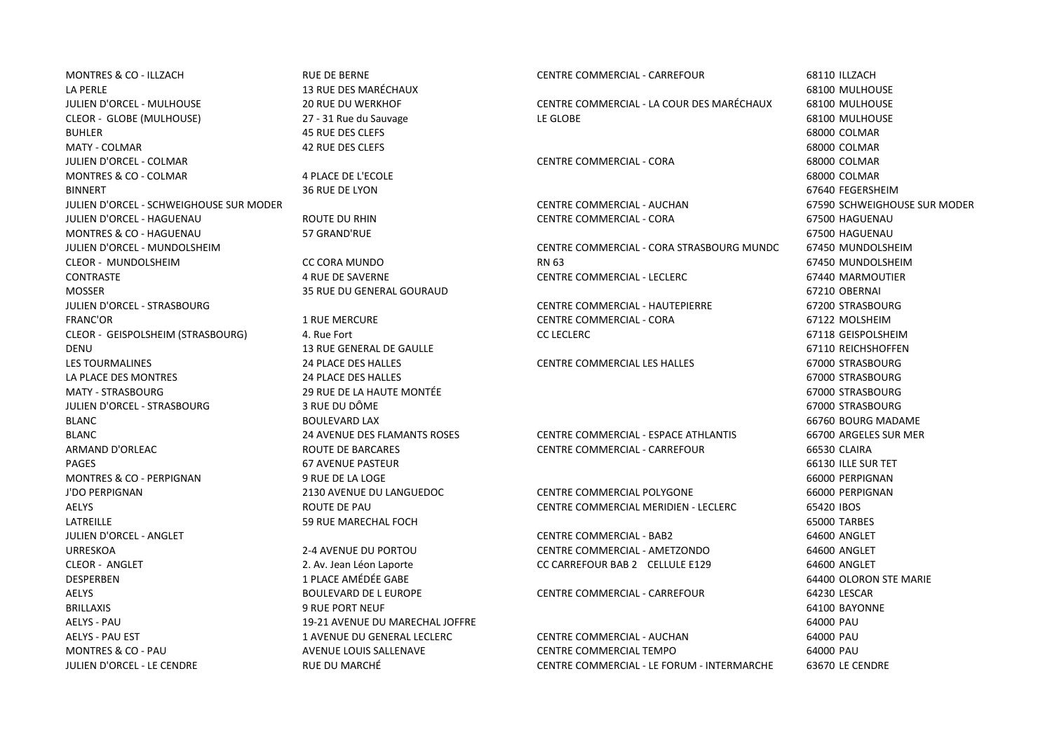MONTRES & CO - ILLZACH RUE DE BERNE CENTRE COMMERCIAL - CARREFOUR 68110 ILLZACH LA PERLE 13 RUE DES MARÉCHAUX 68100 MULHOUSE JULIEN D'ORCEL - MULHOUSE 20 RUE DU WERKHOF CENTRE COMMERCIAL - LA COUR DES MARÉCHAUX 68100 MULHOUSE BUHLER 45 RUE DES CLEFS 68000 COLMAR MATY - COLMAR 42 RUE DES CLEFS 68000 COLMAR JULIEN D'ORCEL - COLMAR CENTRE COMMERCIAL - CORA 68000 COLMAR MONTRES & CO - COLMAR 4 PLACE DE L'ECOLE 68000 COLMAR BINNERT 36 RUE DE LYON 67640 FEGERSHEIM JULIEN D'ORCEL - SCHWEIGHOUSE SUR MODER CENTRE COMMERCIAL - AUCHAN 67590 SCHWEIGHOUSE SUR MODER JULIEN D'ORCEL - HAGUENAU ROUTE DU RHIN CENTRE COMMERCIAL - CORA 67500 HAGUENAU MONTRES & CO - HAGUENAU 57 GRAND'RUE 67500 HAGUENAU JULIEN D'ORCEL - MUNDOLSHEIM CENTRE COMMERCIAL - CORA STRASBOURG MUNDC 67450 MUNDOLSHEIM MOSSER 35 RUE DU GENERAL GOURAUD 67210 OBERNAI JULIEN D'ORCEL - STRASBOURG CENTRE COMMERCIAL - HAUTEPIERRE 67200 STRASBOURG FRANC'OR 1 RUE MERCURE CENTRE COMMERCIAL - CORA 67122 MOLSHEIM CLEOR - GEISPOLSHEIM (STRASBOURG) 4. Rue Fort CC LECLERC 67118 GEISPOLSHEIM DENU 13 RUE GENERAL DE GAULLE 67110 REICHSHOFFEN LES TOURMALINES 24 PLACE DES HALLES CENTRE COMMERCIAL LES HALLES 67000 STRASBOURG LA PLACE DES MONTRES 24 PLACE DES HALLES 67000 STRASBOURG MATY - STRASBOURG 29 RUE DE LA HAUTE MONTÉE 67000 STRASBOURG JULIEN D'ORCEL - STRASBOURG 3 RUE DU DÔME 67000 STRASBOURG BLANC BOULEVARD LAX 66760 BOURG MADAME BLANC 24 AVENUE DES FLAMANTS ROSES CENTRE COMMERCIAL - ESPACE ATHLANTIS 66700 ARGELES SUR MER ARMAND D'ORLEAC ROUTE DE BARCARES CENTRE COMMERCIAL - CARREFOUR 66530 CLAIRA PAGES 67 AVENUE PASTEUR 66130 ILLE SUR TET MONTRES & CO - PERPIGNAN 9RUE DE LA LOGE AND SERVICE OF LA LOGE AND SERVICE OF LA LOGE AND SERVIGNAN AND SERVIGNAN J'DO PERPIGNAN 2130 AVENUE DU LANGUEDOC CENTRE COMMERCIAL POLYGONE 66000 PERPIGNAN AELYS ROUTE DE PAU CENTRE COMMERCIAL MERIDIEN - LECLERC 65420 IBOS LATREILLE **1990 CONTROLLET SUBSEX SUBSEX SUBSEX SUBSEX SUBSEX SUBSEX SUBSEX SUBSEX SUBSEX SUBSEX SUBSEX SUBSEX SUBSEX SUBSEX SUBSEX SUBSEX SUBSEX SUBSEX SUBSEX SUBSEX SUBSEX SUBSEX SUBSEX SUBSEX SUBSEX SUBSEX SUBSEX SUBSEX** JULIEN D'ORCEL - ANGLET CENTRE COMMERCIAL - BAB2 64600 ANGLET URRESKOA 2-4 AVENUE DU PORTOU CENTRE COMMERCIAL - AMETZONDO 64600 ANGLET CLEOR - ANGLET 2. Av. Jean Léon Laporte CC CARREFOUR BAB 2 CELLULE E129 64600 ANGLET DESPERBEN 1 PLACE AMÉDÉE GABE 64400 OLORON STE MARIE AELYS BOULEVARD DE L EUROPE CENTRE COMMERCIAL - CARREFOUR 64230 LESCAR BRILLAXIS 9 RUE PORT NEUF 64100 BAYONNE AELYS - PAU 19-21 AVENUE DU MARECHAL IOFFRE ANNO 19-21 AVENUE DU MARECHAL IOFFRE ANNO 19-21 AVENUE DU MARECHAL IOFFRE

CLEOR - GLOBE (MULHOUSE) 27 - 31 Rue du Sauvage LE GLOBE 68100 MULHOUSE

CLEOR - MUNDOLSHEIM CC CORA MUNDO RN 63 67450 MUNDOLSHEIM CONTRASTE 4 RUE DE SAVERNE CENTRE COMMERCIAL - LECLERC 67440 MARMOUTIER

AELYS - PAU EST 1 AVENUE DU GENERAL LECLERC CENTRE COMMERCIAL - AUCHAN 64000 PAU MONTRES & CO - PAU AVENUE LOUIS SALLENAVE CENTRE COMMERCIAL TEMPO 64000 PAU JULIEN D'ORCEL - LE CENDRE RUE DU MARCHÉ CENTRE COMMERCIAL - LE FORUM - INTERMARCHE 63670 LE CENDRE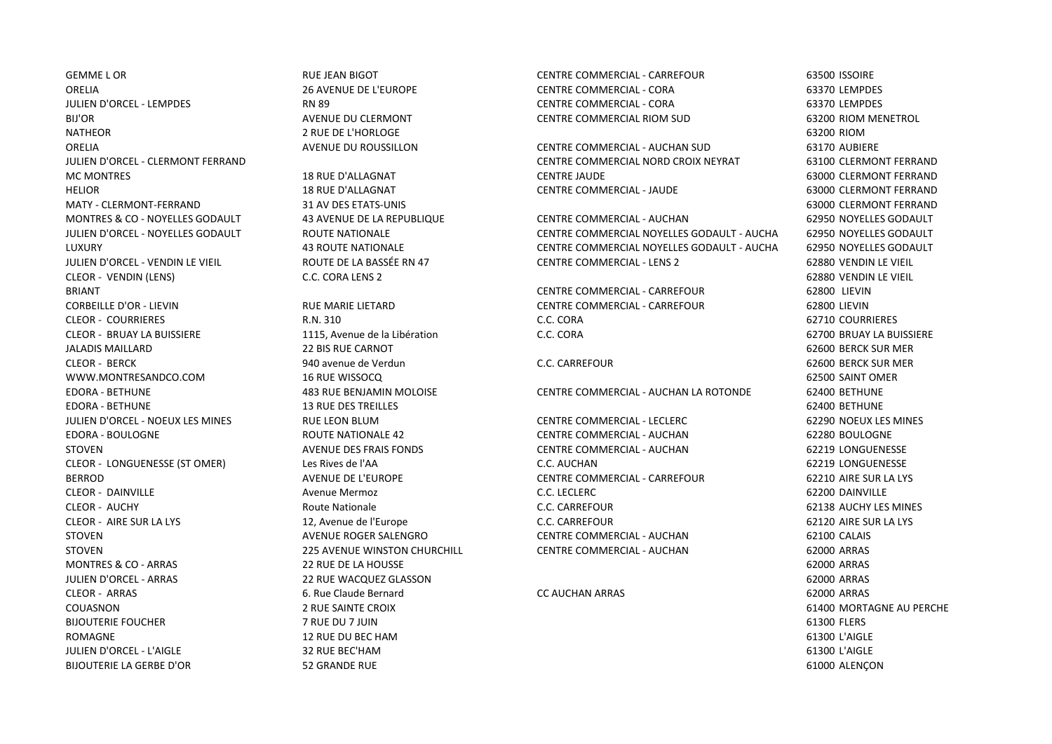GEMME L OR GEMENT BIGOT AND RUE JEAN BIGOT CENTRE COMMERCIAL - CARREFOUR GEMENT AND GOSSOIRE ORELIA 26 AVENUE DE L'EUROPE CENTRE COMMERCIAL - CORA 63370 LEMPDES JULIEN D'ORCEL - LEMPDES RN 89 CENTRE COMMERCIAL - CORA 63370 LEMPDES BIJ'OR AVENUE DU CLERMONT CENTRE COMMERCIAL RIOM SUD 63200 RIOM MENETROL NATHEOR 2 RUE DE L'HORLOGE 63200 RIOM ORELIA AVENUE DU ROUSSILLON CENTRE COMMERCIAL - AUCHAN SUD 63170 AUBIERE MATY - CLERMONT-FERRAND 31 AV DES ETATS-UNIS 63000 CLERMONT FERRAND CLEOR - VENDIN (LENS) C.C. CORA LENS 2 62880 VENDIN LE VIEIL BRIANT CENTRE COMMERCIAL - CARREFOUR 62800 LIEVIN CORBEILLE D'OR - LIEVIN RUE MARIE LIETARD CENTRE COMMERCIAL - CARREFOUR 62800 LIEVIN CLEOR - COURRIERES R.N. 310 C.C. CORA 62710 COURRIERES CLEOR - BRUAY LA BUISSIERE 1115, Avenue de la Libération 62700 BRUAY LA BUISSIERE JALADIS MAILLARD 22 BIS RUE CARNOT 62600 BERCK SUR MER CLEOR - BERCK 940 avenue de Verdun C.C. CARREFOUR 62600 BERCK SUR MER WWW.MONTRESANDCO.COM 16 RUE WISSOCO 62500 SAINT OMER EDORA - BETHUNE 13 RUE DES TREILLES 62400 BETHUNE JULIEN D'ORCEL - NOEUX LES MINES RUE LEON BLUM CENTRE COMMERCIAL - LECLERC 62290 NOEUX LES MINES EDORA - BOULOGNE ROUTE NATIONALE 42 CENTRE COMMERCIAL - AUCHAN 62280 BOULOGNE STOVEN AVENUE DES FRAIS FONDS CENTRE COMMERCIAL - AUCHAN 62219 LONGUENESSE CLEOR - LONGUENESSE (ST OMER) Les Rives de l'AA C.C. AUCHAN 62219 LONGUENESSE BERROD BERROD AVENUE DE L'EUROPE CENTRE COMMERCIAL - CARREFOUR 62210 AIRE SUR LA LYS CLEOR - DAINVILLE Avenue Mermoz C.C. LECLERC 62200 DAINVILLE CLEOR - AUCHY Route Nationale C.C. CARREFOUR 62138 AUCHY LES MINES CLEOR - AIRE SUR LA LYS 12, Avenue de l'Europe C.C. CARREFOUR 62120 AIRE SUR LA LYS STOVEN **AVENUE ROGER SALENGRO CENTRE COMMERCIAL - AUCHAN** 62100 CALAIS STOVEN 225 AVENUE WINSTON CHURCHILL CENTRE COMMERCIAL - AUCHAN 62000 ARRAS MONTRES & CO - ARRAS 62000 ARRAS 22 RUE DE LA HOUSSE 62000 ARRAS 62000 ARRAS 62000 ARRAS JULIEN D'ORCEL - ARRAS 22 RUE WACQUEZ GLASSON 62000 ARRAS CLEOR - ARRAS 6. Rue Claude Bernard CC AUCHAN ARRAS 62000 ARRAS COUASNON 2 RUE SAINTE CROIX 61400 MORTAGNE AU PERCHE BIJOUTERIE FOUCHER GERSOOP EERS ANDER THE BIJOUTERIE FOUCHER AND THE STATE OF THE STATE OF THE STATE OF THE STATE OF THE STATE OF THE STATE OF THE STATE OF THE STATE OF THE STATE OF THE STATE OF THE STATE OF THE STATE OF T ROMAGNE 12 RUE DU BEC HAM 61300 L'AIGLE JULIEN D'ORCEL - L'AIGLE 32 RUE BEC'HAM 61300 L'AIGLE

BIJOUTERIE LA GERBE D'OR 52 GRANDE RUE 61000 ALENÇON

JULIEN D'ORCEL - CLERMONT FERRAND CENTRE COMMERCIAL NORD CROIX NEYRAT 63100 CLERMONT FERRAND MC MONTRES 18 RUE D'ALLAGNAT CENTRE JAUDE 63000 CLERMONT FERRAND HELIOR 18 RUE D'ALLAGNAT CENTRE COMMERCIAL - JAUDE 63000 CLERMONT FERRAND

MONTRES & CO - NOYELLES GODAULT 43 AVENUE DE LA REPUBLIQUE CENTRE COMMERCIAL - AUCHAN 62950 NOYELLES GODAULT JULIEN D'ORCEL - NOYELLES GODAULT ROUTE NATIONALE CENTRE COMMERCIAL NOYELLES GODAULT - AUCHAN 62950 NOYELLES GODAULT LUXURY 43 ROUTE NATIONALE CENTRE COMMERCIAL NOYELLES GODAULT - AUCHAN 62950 NOYELLES GODAULT JULIEN D'ORCEL - VENDIN LE VIEIL ROUTE DE LA BASSÉE RN 47 CENTRE COMMERCIAL - LENS 2 62880 VENDIN LE VIEIL

EDORA - BETHUNE 483 RUE BENJAMIN MOLOISE CENTRE COMMERCIAL - AUCHAN LA ROTONDE 62400 BETHUNE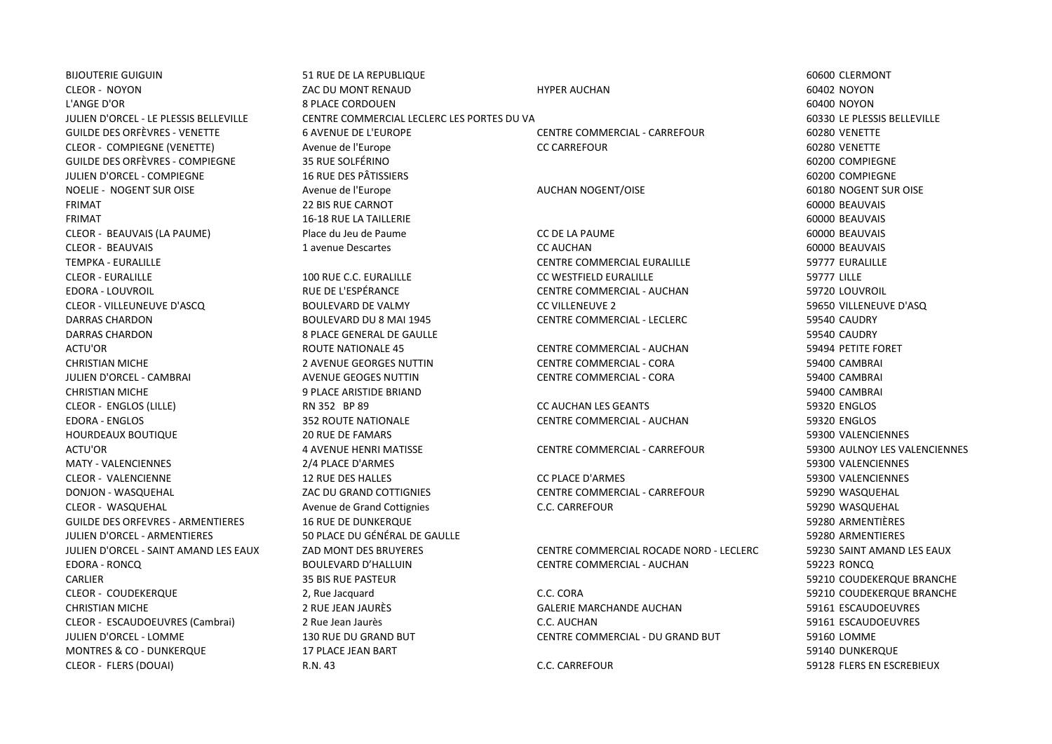BIJOUTERIE GUIGUIN 60600 CLERMONT 51 RUE DE LA REPUBLIQUE EN ENTRE DE LA REPUBLIQUE EN ENCORE DE LA REPUBLIQUE CLEOR - NOYON ZAC DU MONT RENAUD HYPER AUCHAN 60402 NOYON L'ANGE D'OR 8 PLACE CORDOUEN 60400 NOYON JULIEN D'ORCEL - LE PLESSIS BELLEVILLE CENTRE COMMERCIAL LECLERC LES PORTES DU VALOIS 60330 LE PLESSIS BELLEVILLE GUILDE DES ORFÈVRES - VENETTE 6 AVENUE DE L'EUROPE CENTRE COMMERCIAL - CARREFOUR 60280 VENETTE CLEOR - COMPIEGNE (VENETTE) Avenue de l'Europe CC CARREFOUR 60280 VENETTE GUILDE DES ORFÈVRES - COMPIEGNE 35 RUE SOLFÉRINO 60200 COMPIEGNE JULIEN D'ORCEL - COMPIEGNE 16 RUE DES PÂTISSIERS 60200 COMPIEGNE NOELIE - NOGENT SUR OISE Avenue de l'Europe AUCHAN NOGENT/OISE AUCHAN NOGENT AUCHAN NOGENT SUR OISE AUCHAN AUCHAN AUCHAN AUCHAN AUCHAN AUCHAN AUCHAN AUCHAN AUCHAN AUCHAN AUCHAN AUCHAN AUCHAN AUCHAN AUCHAN AUCHAN AUCHAN AUC FRIMAT 22 BIS RUE CARNOT 60000 BEAUVAIS FRIMAT 16-18 RUE LA TAILLERIE 60000 BEAUVAIS CLEOR - BEAUVAIS (LA PAUME) Place du Jeu de Paume CC DE LA PAUME 60000 BEAUVAIS CLEOR - BEAUVAIS 1 avenue Descartes CC AUCHAN 60000 BEAUVAIS TEMPKA - EURALILLE CENTRE COMMERCIAL EURALILLE 59777 EURALILLE CLEOR - EURALILLE 100 RUE C.C. EURALILLE CC WESTFIELD EURALILLE 59777 LILLE EDORA - LOUVROIL RUE DE L'ESPÉRANCE CENTRE COMMERCIAL - AUCHAN 59720 LOUVROIL CLEOR - VILLEUNEUVE D'ASCQ BOULEVARD DE VALMY CC VILLENEUVE 2 59650 VILLENEUVE D'ASQ DARRAS CHARDON BOULEVARD DU 8 MAI 1945 CENTRE COMMERCIAL - LECLERC 59540 CAUDRY DARRAS CHARDON 8 PLACE GENERAL DE GAULLE 59540 CAUDRY ACTU'OR ROUTE NATIONALE 45 CENTRE COMMERCIAL - AUCHAN 59494 PETITE FORET CHRISTIAN MICHE 2 AVENUE GEORGES NUTTIN CENTRE COMMERCIAL - CORA 59400 CAMBRAI JULIEN D'ORCEL - CAMBRAI AVENUE GEOGES NUTTIN CENTRE COMMERCIAL - CORA 59400 CAMBRAI CHRISTIAN MICHE 9 PLACE ARISTIDE BRIAND 59400 CAMBRAI CLEOR - ENGLOS (LILLE) RN 352 BP 89 CC AUCHAN LES GEANTS 59320 ENGLOS EDORA - ENGLOS 352 ROUTE NATIONALE CENTRE COMMERCIAL - AUCHAN 59320 ENGLOS HOURDEAUX BOUTIQUE 20 RUE DE FAMARS 59300 VALENCIENNES ACTU'OR 4 AVENUE HENRI MATISSE CENTRE COMMERCIAL - CARREFOUR 59300 AULNOY LES VALENCIENNES MATY - VALENCIENNES 2/4 PLACE D'ARMES 59300 VALENCIENNES CLEOR - VALENCIENNE 12 RUE DES HALLES CC PLACE D'ARMES 59300 VALENCIENNES DONJON - WASQUEHAL CHARRETOUR ZAC DU GRAND COTTIGNIES CENTRE COMMERCIAL - CARREFOUR 59290 WASQUEHAL CLEOR - WASQUEHAL Avenue de Grand Cottignies C.C. CARREFOUR 59290 WASQUEHAL GUILDE DES ORFEVRES - ARMENTIERES 16 RUE DE DUNKERQUE 59280 ARMENTIÈRES JULIEN D'ORCEL - ARMENTIERES 50 PLACE DU GÉNÉRAL DE GAULLE 59280 ARMENTIERES JULIEN D'ORCEL - SAINT AMAND LES EAUX ZAD MONT DES BRUYERES CENTRE COMMERCIAL ROCADE NORD - LECLERC 59230 SAINT AMAND LES EAUX CARLIER 35 BIS RUE PASTEUR 59210 COUDEKERQUE BRANCHE CLEOR - COUDEKERQUE 2, Rue Jacquard C.C. CORA 59210 COUDEKERQUE BRANCHE CHRISTIAN MICHE 2 RUE JEAN JAURÈS GALERIE MARCHANDE AUCHAN 59161 ESCAUDOEUVRES CLEOR - ESCAUDOEUVRES (Cambrai) 2 Rue Jean Jaurès C.C. AUCHAN 59161 ESCAUDOEUVRES JULIEN D'ORCEL - LOMME 130 RUE DU GRAND BUT CENTRE COMMERCIAL - DU GRAND BUT 59160 LOMME MONTRES & CO - DUNKERQUE 17 PLACE JEAN BART 59140 DUNKERQUE CLEOR - FLERS (DOUAI) R.N. 43 C.C. CARREFOUR 59128 FLERS EN ESCREBIEUX

EDORA - RONCQ BOULEVARD D'HALLUIN CENTRE COMMERCIAL - AUCHAN 59223 RONCQ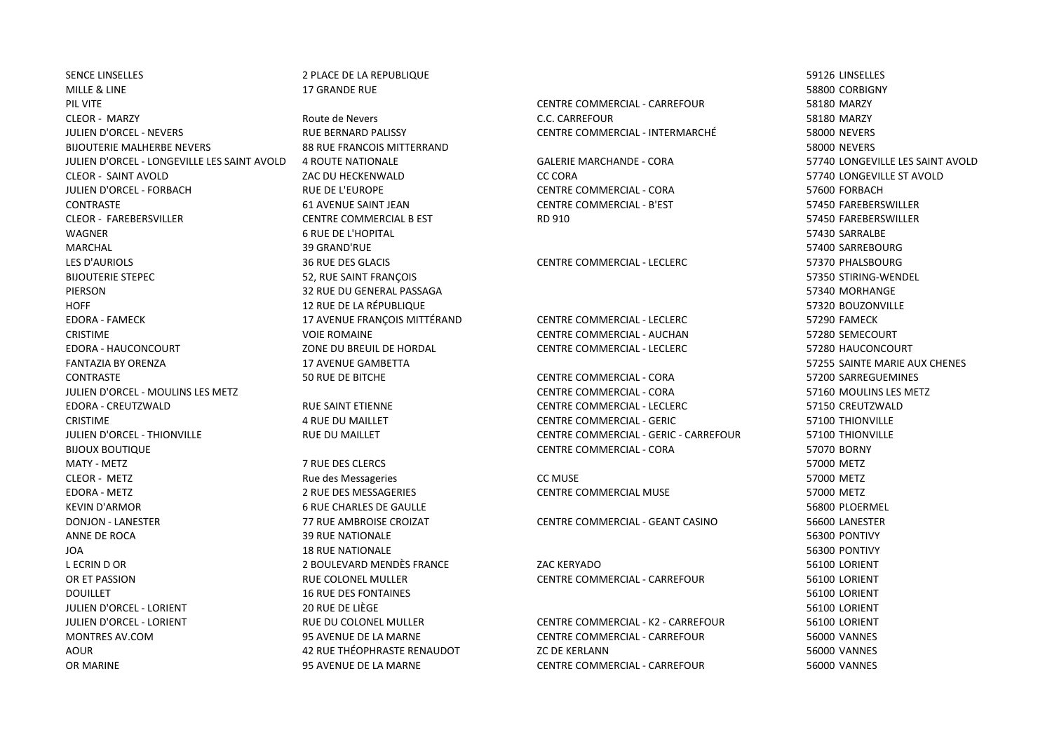SENCE LINSELLES SENSE EN LA REPUBLIQUE DE LA REPUBLIQUE SENSE EN LA SENSE EN L'ORDEN SENSE EN L'ORDEN SENSELLES MILLE & LINE 17 GRANDE RUE 17 GRANDE RUE 2006 CORBIGNY PIL VITE CENTRE COMMERCIAL - CARREFOUR 58180 MARZY CLEOR - MARZY Route de Nevers C.C. CARREFOUR 58180 MARZY JULIEN D'ORCEL - NEVERS RUE BERNARD PALISSY CENTRE COMMERCIAL - INTERMARCHÉ 58000 NEVERS BIJOUTERIE MALHERBE NEVERS EN ERRES AND SA RUE FRANCOIS MITTERRAND SANCHERS AND SANCHERS AND SANCHERS SANCHERS JULIEN D'ORCEL - LONGEVILLE LES SAINT AVOLD 4 ROUTE NATIONALE GALERIE MARCHANDE - CORA 57740 LONGEVILLE LES SAINT AVOLD CLEOR - SAINT AVOLD ZAC DU HECKENWALD CC CORA 57740 LONGEVILLE ST AVOLD JULIEN D'ORCEL - FORBACH RUE DE L'EUROPE CENTRE COMMERCIAL - CORA 57600 FORBACH CONTRASTE 61 AVENUE SAINT JEAN CENTRE COMMERCIAL - B'EST 57450 FAREBERSWILLER CLEOR - FAREBERSVILLER CENTRE COMMERCIAL B EST RD 910 57450 FAREBERSWILLER WAGNER 6 RUE DE L'HOPITAL 57430 SARRALBE MARCHAL 39 GRAND'RUE 57400 SARREBOURG LES D'AURIOLS 36 RUE DES GLACIS CENTRE COMMERCIAL - LECLERC 57370 PHALSBOURG BIJOUTERIE STEPEC SOURCHE SANNES AND THE SAINT FRANÇOIS SOURCHES AND THE SAINT FRANCOIS STIRING-WENDEL STATE SAN SERVER STRING-WENDEL PIERSON 32 RUE DU GENERAL PASSAGA 57340 MORHANGE HOFF 12 RUE DE LA RÉPUBLIQUE 57320 BOUZONVILLE EDORA - FAMECK 17 AVENUE FRANÇOIS MITTÉRAND CENTRE COMMERCIAL - LECLERC 57290 FAMECK CRISTIME VOIE ROMAINE CENTRE COMMERCIAL - AUCHAN 57280 SEMECOURT EDORA - HAUCONCOURT ZONE DU BREUIL DE HORDAL CENTRE COMMERCIAL - LECLERC 57280 HAUCONCOURT FANTAZIA BY ORENZA 17 AVENUE GAMBETTA 57255 SAINTE MARIE AUX CHENES CONTRASTE 50 RUE DE BITCHE CENTRE COMMERCIAL - CORA 57200 SARREGUEMINES JULIEN D'ORCEL - MOULINS LES METZ CENTRE COMMERCIAL - CORA 57160 MOULINS LES METZ EDORA - CREUTZWALD RUE SAINT ETIENNE CENTRE COMMERCIAL - LECLERC 57150 CREUTZWALD CRISTIME 4 RUE DU MAILLET CENTRE COMMERCIAL - GERIC 57100 THIONVILLE JULIEN D'ORCEL - THIONVILLE RUE DU MAILLET CENTRE COMMERCIAL - GERIC - CARREFOUR 57100 THIONVILLE BIJOUX BOUTIQUE CENTRE COMMERCIAL - CORA 57070 BORNY MATY - METZ 7 RUE DES CLERCS 57000 METZ CLEOR - METZ Rue des Messageries CC MUSE 57000 METZ EDORA - METZ 2 RUE DES MESSAGERIES CENTRE COMMERCIAL MUSE 57000 METZ KEVIN D'ARMOR 6 RUE CHARLES DE GAULLE 56800 PLOERMEL DONJON - LANESTER 77 RUE AMBROISE CROIZAT CENTRE COMMERCIAL - GEANT CASINO 56600 LANESTER ANNE DE ROCA 39 RUE NATIONALE 56300 PONTIVY JOA 18 RUE NATIONALE 56300 PONTIVY L ECRIN D OR 2 BOULEVARD MENDÈS FRANCE ZAC KERYADO 56100 LORIENT OR ET PASSION RUE COLONEL MULLER CENTRE COMMERCIAL - CARREFOUR 56100 LORIENT DOUILLET **16 RUE DES FONTAINES** 16 RUE DES FONTAINES JULIEN D'ORCEL - LORIENT 20 RUE DE LIÈGE 56100 LORIENT JULIEN D'ORCEL - LORIENT RUE DU COLONEL MULLER CENTRE COMMERCIAL - K2 - CARREFOUR 56100 LORIENT MONTRES AV.COM 95 AVENUE DE LA MARNE CENTRE COMMERCIAL - CARREFOUR 56000 VANNES AOUR 42 RUE THÉOPHRASTE RENAUDOT ZC DE KERLANN 56000 VANNES OR MARINE 95 AVENUE DE LA MARNE CENTRE COMMERCIAL - CARREFOUR 56000 VANNES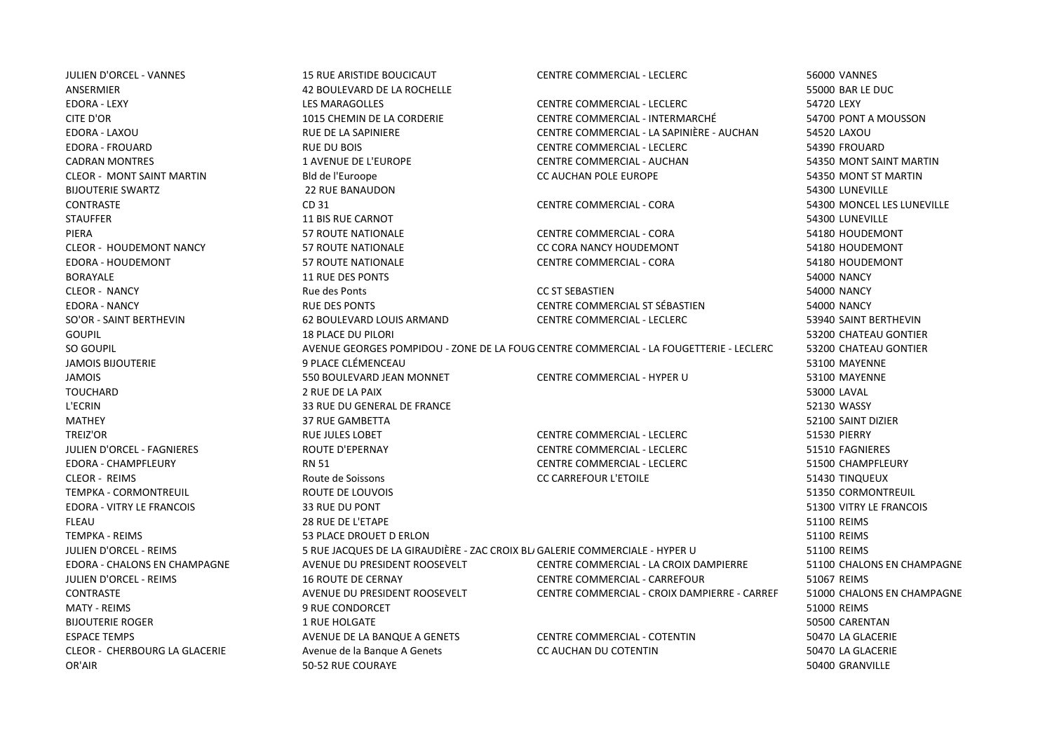| <b>JULIEN D'ORCEL - VANNES</b>       | <b>15 RUE ARISTIDE BOUCICAUT</b>                                             | <b>CENTRE COMMERCIAL - LECLERC</b>                                                     | <b>56000 VANNES</b>        |
|--------------------------------------|------------------------------------------------------------------------------|----------------------------------------------------------------------------------------|----------------------------|
| ANSERMIER                            | 42 BOULEVARD DE LA ROCHELLE                                                  |                                                                                        | 55000 BAR LE DUC           |
| <b>EDORA - LEXY</b>                  | <b>LES MARAGOLLES</b>                                                        | CENTRE COMMERCIAL - LECLERC                                                            | 54720 LEXY                 |
| CITE D'OR                            | 1015 CHEMIN DE LA CORDERIE                                                   | CENTRE COMMERCIAL - INTERMARCHÉ                                                        | 54700 PONT A MOUSSON       |
| EDORA - LAXOU                        | RUE DE LA SAPINIERE                                                          | CENTRE COMMERCIAL - LA SAPINIÈRE - AUCHAN                                              | 54520 LAXOU                |
| <b>EDORA - FROUARD</b>               | <b>RUE DU BOIS</b>                                                           | <b>CENTRE COMMERCIAL - LECLERC</b>                                                     | 54390 FROUARD              |
| <b>CADRAN MONTRES</b>                | <b>1 AVENUE DE L'EUROPE</b>                                                  | <b>CENTRE COMMERCIAL - AUCHAN</b>                                                      | 54350 MONT SAINT MARTIN    |
| <b>CLEOR - MONT SAINT MARTIN</b>     | Bld de l'Euroope                                                             | <b>CC AUCHAN POLE EUROPE</b>                                                           | 54350 MONT ST MARTIN       |
| <b>BIJOUTERIE SWARTZ</b>             | <b>22 RUE BANAUDON</b>                                                       |                                                                                        | 54300 LUNEVILLE            |
| <b>CONTRASTE</b>                     | CD 31                                                                        | CENTRE COMMERCIAL - CORA                                                               | 54300 MONCEL LES LUNEVILLE |
| <b>STAUFFER</b>                      | <b>11 BIS RUE CARNOT</b>                                                     |                                                                                        | 54300 LUNEVILLE            |
| PIERA                                | <b>57 ROUTE NATIONALE</b>                                                    | <b>CENTRE COMMERCIAL - CORA</b>                                                        | 54180 HOUDEMONT            |
| <b>CLEOR - HOUDEMONT NANCY</b>       | <b>57 ROUTE NATIONALE</b>                                                    | CC CORA NANCY HOUDEMONT                                                                | 54180 HOUDEMONT            |
| EDORA - HOUDEMONT                    | <b>57 ROUTE NATIONALE</b>                                                    | <b>CENTRE COMMERCIAL - CORA</b>                                                        | 54180 HOUDEMONT            |
| <b>BORAYALE</b>                      | <b>11 RUE DES PONTS</b>                                                      |                                                                                        | <b>54000 NANCY</b>         |
| <b>CLEOR - NANCY</b>                 | Rue des Ponts                                                                | <b>CC ST SEBASTIEN</b>                                                                 | <b>54000 NANCY</b>         |
| <b>EDORA - NANCY</b>                 | <b>RUE DES PONTS</b>                                                         | CENTRE COMMERCIAL ST SÉBASTIEN                                                         | <b>54000 NANCY</b>         |
| SO'OR - SAINT BERTHEVIN              | 62 BOULEVARD LOUIS ARMAND                                                    | CENTRE COMMERCIAL - LECLERC                                                            | 53940 SAINT BERTHEVIN      |
| <b>GOUPIL</b>                        | <b>18 PLACE DU PILORI</b>                                                    |                                                                                        | 53200 CHATEAU GONTIER      |
| SO GOUPIL                            |                                                                              | AVENUE GEORGES POMPIDOU - ZONE DE LA FOUG CENTRE COMMERCIAL - LA FOUGETTERIE - LECLERC | 53200 CHATEAU GONTIER      |
| <b>JAMOIS BIJOUTERIE</b>             | 9 PLACE CLÉMENCEAU                                                           |                                                                                        | 53100 MAYENNE              |
| <b>JAMOIS</b>                        | 550 BOULEVARD JEAN MONNET                                                    | CENTRE COMMERCIAL - HYPER U                                                            | 53100 MAYENNE              |
| <b>TOUCHARD</b>                      | 2 RUE DE LA PAIX                                                             |                                                                                        | 53000 LAVAL                |
| L'ECRIN                              | 33 RUE DU GENERAL DE FRANCE                                                  |                                                                                        | 52130 WASSY                |
| MATHEY                               | <b>37 RUE GAMBETTA</b>                                                       |                                                                                        | 52100 SAINT DIZIER         |
| <b>TREIZ'OR</b>                      | <b>RUE JULES LOBET</b>                                                       | <b>CENTRE COMMERCIAL - LECLERC</b>                                                     | <b>51530 PIERRY</b>        |
| JULIEN D'ORCEL - FAGNIERES           | <b>ROUTE D'EPERNAY</b>                                                       | CENTRE COMMERCIAL - LECLERC                                                            | 51510 FAGNIERES            |
| EDORA - CHAMPFLEURY                  | <b>RN 51</b>                                                                 | CENTRE COMMERCIAL - LECLERC                                                            | 51500 CHAMPFLEURY          |
| <b>CLEOR - REIMS</b>                 | Route de Soissons                                                            | <b>CC CARREFOUR L'ETOILE</b>                                                           | 51430 TINQUEUX             |
| TEMPKA - CORMONTREUIL                | ROUTE DE LOUVOIS                                                             |                                                                                        | 51350 CORMONTREUIL         |
| <b>EDORA - VITRY LE FRANCOIS</b>     | <b>33 RUE DU PONT</b>                                                        |                                                                                        | 51300 VITRY LE FRANCOIS    |
| <b>FLEAU</b>                         | 28 RUE DE L'ETAPE                                                            |                                                                                        | 51100 REIMS                |
| <b>TEMPKA - REIMS</b>                | 53 PLACE DROUET D ERLON                                                      |                                                                                        | 51100 REIMS                |
| <b>JULIEN D'ORCEL - REIMS</b>        | 5 RUE JACQUES DE LA GIRAUDIÈRE - ZAC CROIX BLI GALERIE COMMERCIALE - HYPER U |                                                                                        | 51100 REIMS                |
| EDORA - CHALONS EN CHAMPAGNE         | AVENUE DU PRESIDENT ROOSEVELT                                                | CENTRE COMMERCIAL - LA CROIX DAMPIERRE                                                 | 51100 CHALONS EN CHAMPAGNE |
| <b>JULIEN D'ORCEL - REIMS</b>        | <b>16 ROUTE DE CERNAY</b>                                                    | CENTRE COMMERCIAL - CARREFOUR                                                          | 51067 REIMS                |
| <b>CONTRASTE</b>                     | AVENUE DU PRESIDENT ROOSEVELT                                                | CENTRE COMMERCIAL - CROIX DAMPIERRE - CARREF                                           | 51000 CHALONS EN CHAMPAGNE |
| <b>MATY - REIMS</b>                  | <b>9 RUE CONDORCET</b>                                                       |                                                                                        | 51000 REIMS                |
| <b>BIJOUTERIE ROGER</b>              | 1 RUE HOLGATE                                                                |                                                                                        | 50500 CARENTAN             |
| <b>ESPACE TEMPS</b>                  | AVENUE DE LA BANQUE A GENETS                                                 | CENTRE COMMERCIAL - COTENTIN                                                           | 50470 LA GLACERIE          |
| <b>CLEOR - CHERBOURG LA GLACERIE</b> | Avenue de la Banque A Genets                                                 | CC AUCHAN DU COTENTIN                                                                  | 50470 LA GLACERIE          |
| OR'AIR                               | 50-52 RUE COURAYE                                                            |                                                                                        | 50400 GRANVILLE            |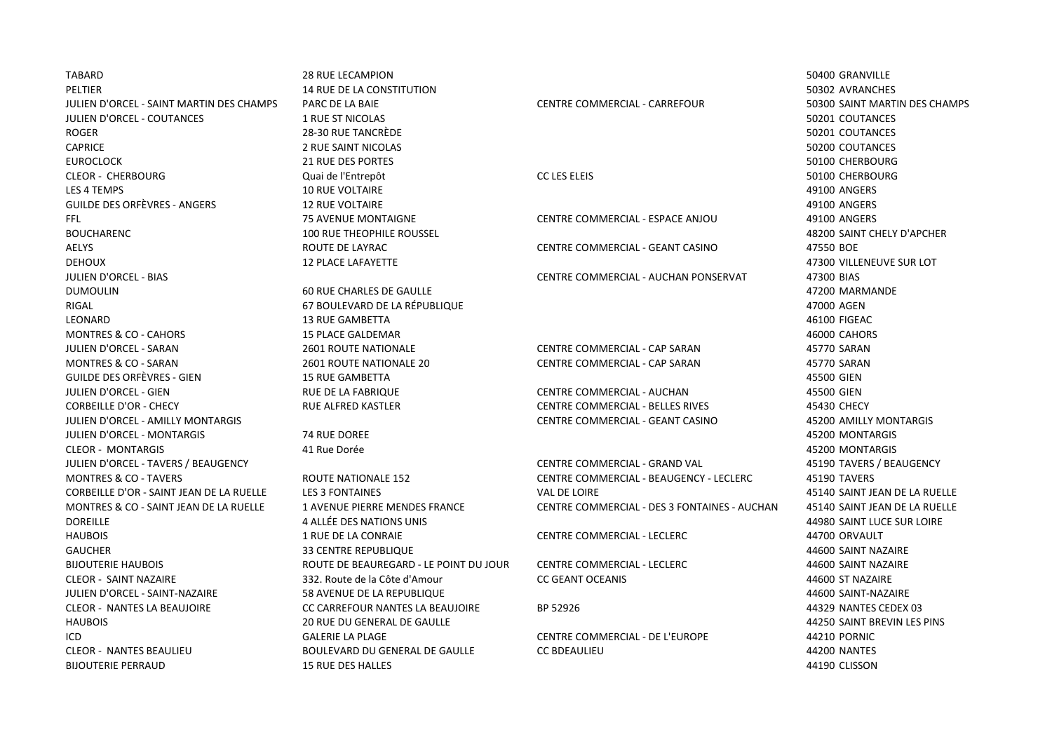| <b>TABARD</b>                            | <b>28 RUE LECAMPION</b>                |                                              | 50400 GRANVILLE               |
|------------------------------------------|----------------------------------------|----------------------------------------------|-------------------------------|
| PELTIER                                  | <b>14 RUE DE LA CONSTITUTION</b>       |                                              | 50302 AVRANCHES               |
| JULIEN D'ORCEL - SAINT MARTIN DES CHAMPS | PARC DE LA BAIE                        | CENTRE COMMERCIAL - CARREFOUR                | 50300 SAINT MARTIN DES CHAMPS |
| JULIEN D'ORCEL - COUTANCES               | <b>1 RUE ST NICOLAS</b>                |                                              | 50201 COUTANCES               |
| <b>ROGER</b>                             | 28-30 RUE TANCRÈDE                     |                                              | 50201 COUTANCES               |
| <b>CAPRICE</b>                           | 2 RUE SAINT NICOLAS                    |                                              | 50200 COUTANCES               |
| <b>EUROCLOCK</b>                         | <b>21 RUE DES PORTES</b>               |                                              | 50100 CHERBOURG               |
| <b>CLEOR - CHERBOURG</b>                 | Quai de l'Entrepôt                     | <b>CC LES ELEIS</b>                          | 50100 CHERBOURG               |
| LES 4 TEMPS                              | <b>10 RUE VOLTAIRE</b>                 |                                              | 49100 ANGERS                  |
| <b>GUILDE DES ORFÈVRES - ANGERS</b>      | <b>12 RUE VOLTAIRE</b>                 |                                              | 49100 ANGERS                  |
| FFL                                      | <b>75 AVENUE MONTAIGNE</b>             | CENTRE COMMERCIAL - ESPACE ANJOU             | 49100 ANGERS                  |
| <b>BOUCHARENC</b>                        | <b>100 RUE THEOPHILE ROUSSEL</b>       |                                              | 48200 SAINT CHELY D'APCHER    |
| <b>AELYS</b>                             | ROUTE DE LAYRAC                        | CENTRE COMMERCIAL - GEANT CASINO             | 47550 BOE                     |
| <b>DEHOUX</b>                            | <b>12 PLACE LAFAYETTE</b>              |                                              | 47300 VILLENEUVE SUR LOT      |
| <b>JULIEN D'ORCEL - BIAS</b>             |                                        | CENTRE COMMERCIAL - AUCHAN PONSERVAT         | 47300 BIAS                    |
| <b>DUMOULIN</b>                          | 60 RUE CHARLES DE GAULLE               |                                              | 47200 MARMANDE                |
| RIGAL                                    | 67 BOULEVARD DE LA RÉPUBLIQUE          |                                              | 47000 AGEN                    |
| LEONARD                                  | <b>13 RUE GAMBETTA</b>                 |                                              | 46100 FIGEAC                  |
| <b>MONTRES &amp; CO - CAHORS</b>         | <b>15 PLACE GALDEMAR</b>               |                                              | 46000 CAHORS                  |
| JULIEN D'ORCEL - SARAN                   | <b>2601 ROUTE NATIONALE</b>            | CENTRE COMMERCIAL - CAP SARAN                | 45770 SARAN                   |
| <b>MONTRES &amp; CO - SARAN</b>          | 2601 ROUTE NATIONALE 20                | CENTRE COMMERCIAL - CAP SARAN                | 45770 SARAN                   |
| <b>GUILDE DES ORFÈVRES - GIEN</b>        | <b>15 RUE GAMBETTA</b>                 |                                              | 45500 GIEN                    |
| <b>JULIEN D'ORCEL - GIEN</b>             | <b>RUE DE LA FABRIQUE</b>              | CENTRE COMMERCIAL - AUCHAN                   | 45500 GIEN                    |
| <b>CORBEILLE D'OR - CHECY</b>            | RUE ALFRED KASTLER                     | CENTRE COMMERCIAL - BELLES RIVES             | 45430 CHECY                   |
| JULIEN D'ORCEL - AMILLY MONTARGIS        |                                        | CENTRE COMMERCIAL - GEANT CASINO             | 45200 AMILLY MONTARGIS        |
| JULIEN D'ORCEL - MONTARGIS               | 74 RUE DOREE                           |                                              | 45200 MONTARGIS               |
| <b>CLEOR - MONTARGIS</b>                 | 41 Rue Dorée                           |                                              | 45200 MONTARGIS               |
| JULIEN D'ORCEL - TAVERS / BEAUGENCY      |                                        | CENTRE COMMERCIAL - GRAND VAL                | 45190 TAVERS / BEAUGENCY      |
| <b>MONTRES &amp; CO - TAVERS</b>         | ROUTE NATIONALE 152                    | CENTRE COMMERCIAL - BEAUGENCY - LECLERC      | 45190 TAVERS                  |
| CORBEILLE D'OR - SAINT JEAN DE LA RUELLE | <b>LES 3 FONTAINES</b>                 | <b>VAL DE LOIRE</b>                          | 45140 SAINT JEAN DE LA RUELLE |
| MONTRES & CO - SAINT JEAN DE LA RUELLE   | <b>1 AVENUE PIERRE MENDES FRANCE</b>   | CENTRE COMMERCIAL - DES 3 FONTAINES - AUCHAN | 45140 SAINT JEAN DE LA RUELLE |
| <b>DOREILLE</b>                          | 4 ALLÉE DES NATIONS UNIS               |                                              | 44980 SAINT LUCE SUR LOIRE    |
| <b>HAUBOIS</b>                           | 1 RUE DE LA CONRAIE                    | <b>CENTRE COMMERCIAL - LECLERC</b>           | 44700 ORVAULT                 |
| <b>GAUCHER</b>                           | <b>33 CENTRE REPUBLIQUE</b>            |                                              | 44600 SAINT NAZAIRE           |
| <b>BIJOUTERIE HAUBOIS</b>                | ROUTE DE BEAUREGARD - LE POINT DU JOUR | <b>CENTRE COMMERCIAL - LECLERC</b>           | 44600 SAINT NAZAIRE           |
| <b>CLEOR - SAINT NAZAIRE</b>             | 332. Route de la Côte d'Amour          | <b>CC GEANT OCEANIS</b>                      | 44600 ST NAZAIRE              |
| JULIEN D'ORCEL - SAINT-NAZAIRE           | 58 AVENUE DE LA REPUBLIQUE             |                                              | 44600 SAINT-NAZAIRE           |
| <b>CLEOR - NANTES LA BEAUJOIRE</b>       | CC CARREFOUR NANTES LA BEAUJOIRE       | BP 52926                                     | 44329 NANTES CEDEX 03         |
| <b>HAUBOIS</b>                           | <b>20 RUE DU GENERAL DE GAULLE</b>     |                                              | 44250 SAINT BREVIN LES PINS   |
| ICD                                      | <b>GALERIE LA PLAGE</b>                | CENTRE COMMERCIAL - DE L'EUROPE              | <b>44210 PORNIC</b>           |
| <b>CLEOR - NANTES BEAULIEU</b>           | <b>BOULEVARD DU GENERAL DE GAULLE</b>  | <b>CC BDEAULIEU</b>                          | 44200 NANTES                  |
| <b>BIJOUTERIE PERRAUD</b>                | <b>15 RUE DES HALLES</b>               |                                              | 44190 CLISSON                 |
|                                          |                                        |                                              |                               |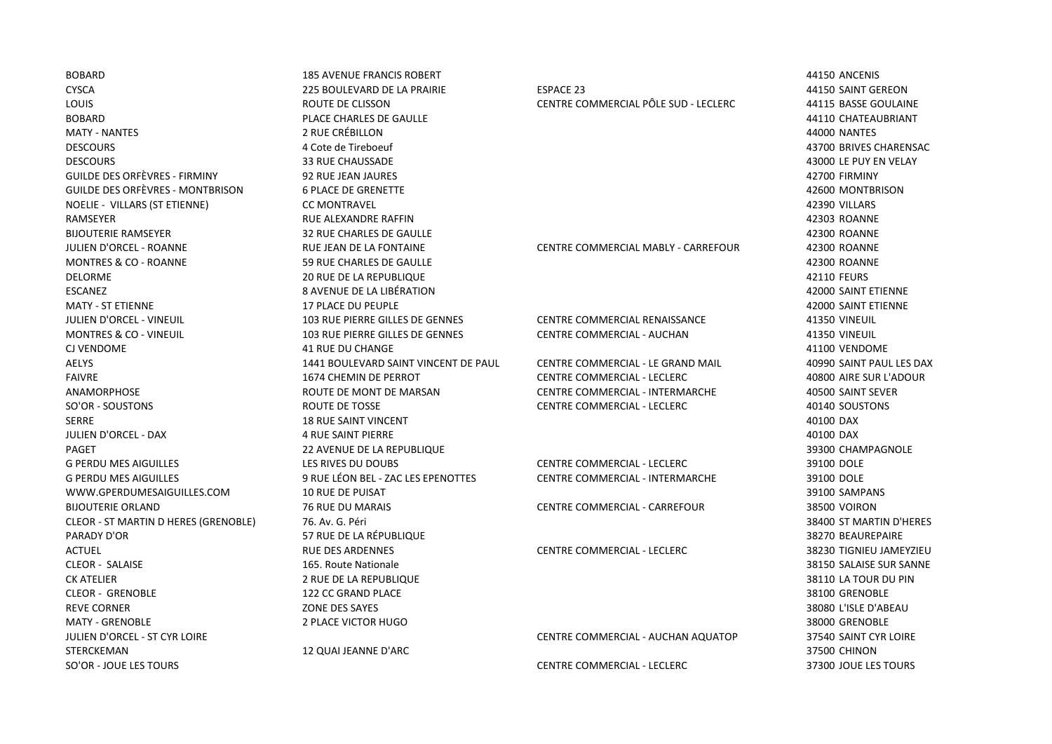BOBARD 185 AVENUE FRANCIS ROBERT 44150 ANCENIS CYSCA 225 BOULEVARD DE LA PRAIRIE ESPACE 23 44150 SAINT GEREON LOUIS ROUTE DE CLISSON CENTRE COMMERCIAL PÔLE SUD - LECLERC 44115 BASSE GOULAINE BOBARD PLACE CHARLES DE GAULLE 44110 CHATEAUBRIANT MATY - NANTES 2 RUE CRÉBILLON 44000 NANTES DESCOURS 4 Cote de Tireboeuf 43700 BRIVES CHARENSAC DESCOURS 33 RUE CHAUSSADE 43000 LE PUY EN VELAY GUILDE DES ORFÈVRES - FIRMINY 92 RUE JEAN JAURES 42700 FIRMINY GUILDE DES ORFÈVRES - MONTBRISON 6 PLACE DE GRENETTE 42600 MONTBRISON NOELIE - VILLARS (ST ETIENNE) CC MONTRAVEL 42390 VILLARS RAMSEYER RUE ALEXANDRE RAFFIN 42303 ROANNE BIJOUTERIE RAMSEYER 32 RUE CHARLES DE GAULLE 42300 ROANNE JULIEN D'ORCEL - ROANNE RUE JEAN DE LA FONTAINE CENTRE COMMERCIAL MABLY - CARREFOUR 42300 ROANNE MONTRES & CO - ROANNE 59 RUE CHARLES DE GAULLE 59 RUE CHARLES DE GAULLE DELORME 20 RUE DE LA REPUBLIQUE 42110 FEURS ESCANEZ 8 AVENUE DE LA LIBÉRATION 42000 SAINT ETIENNE MATY - ST ETIENNE 17 PLACE DU PEUPLE 42000 SAINT ETIENNE JULIEN D'ORCEL - VINEUIL 103 RUE PIERRE GILLES DE GENNES CENTRE COMMERCIAL RENAISSANCE 41350 VINEUIL MONTRES & CO - VINEUIL 103 RUE PIERRE GILLES DE GENNES CENTRE COMMERCIAL - AUCHAN 41350 VINEUIL CJ VENDOME 41 RUE DU CHANGE 41100 VENDOME AELYS 1441 BOULEVARD SAINT VINCENT DE PAUL CENTRE COMMERCIAL - LE GRAND MAIL 40990 SAINT PAUL LES DAX FAIVRE 1674 CHEMIN DE PERROT CENTRE COMMERCIAL - LECLERC 40800 AIRE SUR L'ADOUR ANAMORPHOSE ROUTE DE MONT DE MARSAN CENTRE COMMERCIAL - INTERMARCHE 40500 SAINT SEVER SO'OR - SOUSTONS ROUTE DE TOSSE CENTRE COMMERCIAL - LECLERC 40140 SOUSTONS SERRE 18 RUE SAINT VINCENT 40100 DAX JULIEN D'ORCEL - DAX 4 RUE SAINT PIERRE 40100 DAX PAGET 22 AVENUE DE LA REPUBLIQUE 39300 CHAMPAGNOLE G PERDU MES AIGUILLES LES RIVES DU DOUBS CENTRE COMMERCIAL - LECLERC 39100 DOLE G PERDU MES AIGUILLES **199100 DOLE** 9 RUE LÉON BEL - ZAC LES EPENOTTES CENTRE COMMERCIAL - INTERMARCHE 39100 DOLE WWW.GPERDUMESAIGUILLES.COM 10 RUE DE PUISAT 39100 SAMPANS BIJOUTERIE ORLAND 76 RUE DU MARAIS CENTRE COMMERCIAL - CARREFOUR 38500 VOIRON CLEOR - ST MARTIN D HERES (GRENOBLE) 76. Av. G. Péri 38400 ST MARTIN D'HERES PARADY D'OR 57 RUE DE LA RÉPUBLIQUE 38270 BEAUREPAIRE ACTUEL RUE DES ARDENNES CENTRE COMMERCIAL - LECLERC 38230 TIGNIEU JAMEYZIEU CLEOR - SALAISE 165. Route Nationale 38150 SALAISE SUR SANNE CK ATELIER 2 RUE DE LA REPUBLIQUE 38110 LA TOUR DU PIN CLEOR - GRENOBLE 122 CC GRAND PLACE 38100 GRENOBLE REVE CORNER CORNER DES SAYES AND DES SAYES AND DES SAYES AND DES SAYES AND DES SAYES AND DES SAYES AND DES SAYES MATY - GRENOBLE 2 PLACE VICTOR HUGO 38000 GRENOBLE JULIEN D'ORCEL - ST CYR LOIRE CENTRE COMMERCIAL - AUCHAN AQUATOP 37540 SAINT CYR LOIRE SO'OR - JOUE LES TOURS CENTRE COMMERCIAL - LECLERC 37300 JOUE LES TOURS

STERCKEMAN 12 QUAI JEANNE D'ARC 37500 CHINON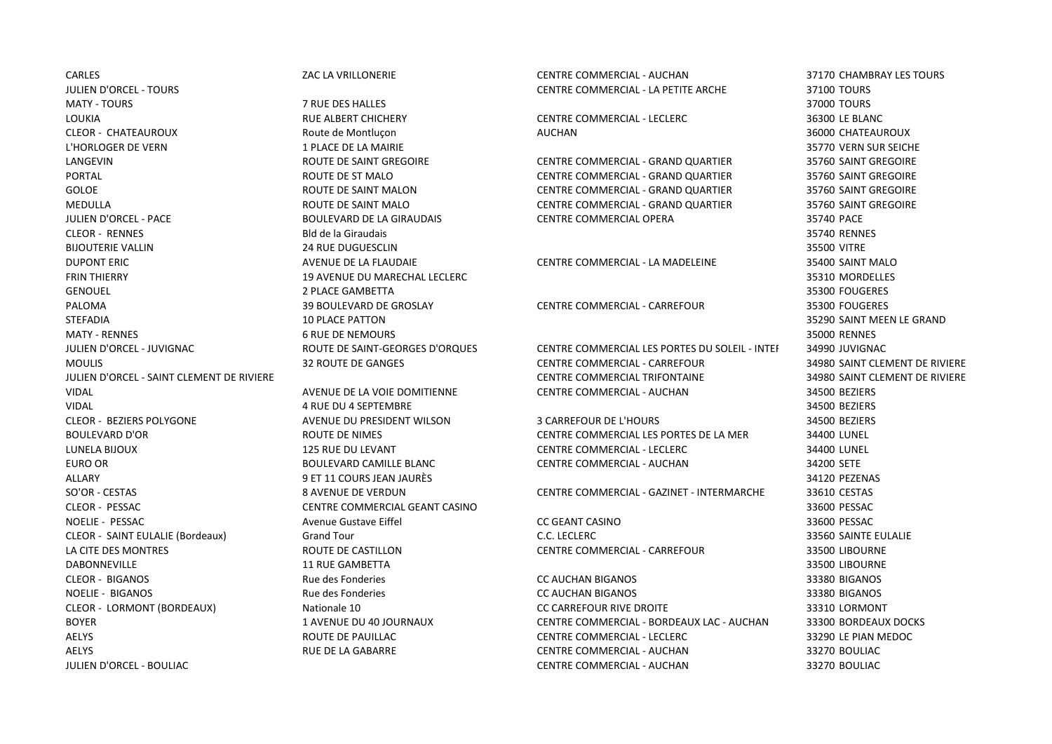CARLES ZAC LA VRILLONERIE CENTRE COMMERCIAL - AUCHAN 37170 CHAMBRAY LES TOURS JULIEN D'ORCEL - TOURS CENTRE COMMERCIAL - LA PETITE ARCHE 37100 TOURS MATY - TOURS 7 RUE DES HALLES 37000 TOURS LOUKIA RUE ALBERT CHICHERY CENTRE COMMERCIAL - LECLERC 36300 LE BLANC CLEOR - CHATEAUROUX Route de Montluçon AUCHAN 36000 CHATEAUROUX L'HORLOGER DE VERN 1999 EN LA SUR SEICHE NAIRIE SE LA MAIRIE SE LA MAIRIE SE LA MAIRIE SE LA MAIRIE SE LA MAIRIE LANGEVIN ROUTE DE SAINT GREGOIRE CENTRE COMMERCIAL - GRAND QUARTIER 35760 SAINT GREGOIRE CLEOR - RENNES Bld de la Giraudais 35740 RENNES BIJOUTERIE VALLIN 24 RUE DUGUESCLIN 35500 VITRE DUPONT ERIC AVENUE DE LA FLAUDAIE CENTRE COMMERCIAL - LA MADELEINE 35400 SAINT MALO FRIN THIERRY 19 AVENUE DU MARECHAL LECLERC 35310 MORDELLES GENOUEL 2 PLACE GAMBETTA 35300 FOUGERES PALOMA 39 BOULEVARD DE GROSLAY CENTRE COMMERCIAL - CARREFOUR 35300 FOUGERES STEFADIA 10 PLACE PATTON 35290 SAINT MEEN LE GRAND MATY - RENNES 6 RUE DE NEMOURS 35000 RENNES VIDAL 4 RUE DU 4 SEPTEMBRE 34500 BEZIERS ALLARY 9 ET 11 COURS JEAN JAURÈS 34120 PEZENAS CLEOR - PESSAC CENTRE COMMERCIAL GEANT CASINO 33600 PESSAC NOELIE - PESSAC Avenue Gustave Eiffel CC GEANT CASINO 33600 PESSAC CLEOR - SAINT EULALIE (Bordeaux) Grand Tour C.C. LECLERC 33560 SAINTE EULALIE LA CITE DES MONTRES ROUTE DE CASTILLON CENTRE COMMERCIAL - CARREFOUR 33500 LIBOURNE DABONNEVILLE 11 RUE GAMBETTA 33500 LIBOURNE

PORTAL ROUTE DE ST MALO CENTRE COMMERCIAL - GRAND QUARTIER 35760 SAINT GREGOIRE GOLOE GOLOGIE EN SAINT MALON CENTRE COMMERCIAL - GRAND QUARTIER 35760 SAINT GREGOIRE MEDULLA ROUTE DE SAINT MALO CENTRE COMMERCIAL - GRAND QUARTIER 35760 SAINT GREGOIRE JULIEN D'ORCEL - PACE BOULEVARD DE LA GIRAUDAIS CENTRE COMMERCIAL OPERA 35740 PACE

JULIEN D'ORCEL - JUVIGNAC ROUTE DE SAINT-GEORGES D'ORQUES CENTRE COMMERCIAL LES PORTES DU SOLEIL - INTERMARCHÉ 34990 JUVIGNAC MOULIS 32 ROUTE DE GANGES CENTRE COMMERCIAL - CARREFOUR 34980 SAINT CLEMENT DE RIVIERE JULIEN D'ORCEL - SAINT CLEMENT DE RIVIERE CENTRE COMMERCIAL TRIFONTAINE 34980 SAINT CLEMENT DE RIVIERE VIDAL AVENUE DE LA VOIE DOMITIENNE CENTRE COMMERCIAL - AUCHAN 34500 BEZIERS

CLEOR - BEZIERS POLYGONE AVENUE DU PRESIDENT WILSON 3 CARREFOUR DE L'HOURS 34500 BEZIERS BOULEVARD D'OR ROUTE DE NIMES CENTRE COMMERCIAL LES PORTES DE LA MER 34400 LUNEL LUNELA BIJOUX 125 RUE DU LEVANT CENTRE COMMERCIAL - LECLERC 34400 LUNEL EURO OR BOULEVARD CAMILLE BLANC CENTRE COMMERCIAL - AUCHAN 34200 SETE

SO'OR - CESTAS 8 AVENUE DE VERDUN CENTRE COMMERCIAL - GAZINET - INTERMARCHE 33610 CESTAS

CLEOR - BIGANOS Rue des Fonderies CC AUCHAN BIGANOS 33380 BIGANOS NOELIE - BIGANOS Rue des Fonderies CC AUCHAN BIGANOS 33380 BIGANOS CLEOR - LORMONT (BORDEAUX) Nationale 10 CC CARREFOUR RIVE DROITE 33310 LORMONT BOYER 1 AVENUE DU 40 JOURNAUX CENTRE COMMERCIAL - BORDEAUX LAC - AUCHAN 33300 BORDEAUX DOCKS AELYS ROUTE DE PAUILLAC CENTRE COMMERCIAL - LECLERC 33290 LE PIAN MEDOC AELYS RUE DE LA GABARRE CENTRE COMMERCIAL - AUCHAN 33270 BOULIAC JULIEN D'ORCEL - BOULIAC CENTRE COMMERCIAL - AUCHAN 33270 BOULIAC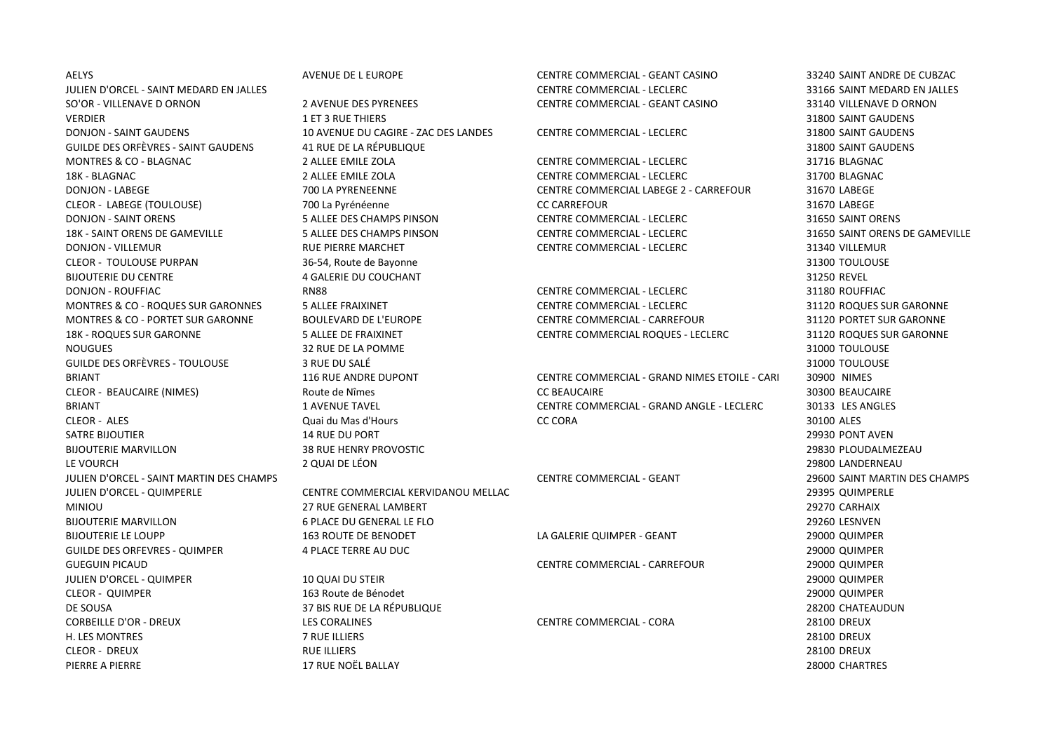JULIEN D'ORCEL - SAINT MEDARD EN JALLES CENTRE COMMERCIAL - LECLERC 33166 SAINT MEDARD EN JALLES SO'OR - VILLENAVE D ORNON 2 AVENUE DES PYRENEES CENTRE COMMERCIAL - GEANT CASINO 33140 VILLENAVE D ORNON VERDIER 1992 SAINT GAUDENS AND ET 3 RUE THIERS AND THE SAINT GAUDENS AND THE SAINT GAUDENS AND SAINT GAUDENS DONJON - SAINT GAUDENS 10 AVENUE DU CAGIRE - ZAC DES LANDES CENTRE COMMERCIAL - LECLERC 31800 SAINT GAUDENS GUILDE DES ORFÈVRES - SAINT GAUDENS 41 RUE DE LA RÉPUBLIQUE 31800 SAINT GAUDENS MONTRES & CO - BLAGNAC 2 ALLEE EMILE ZOLA CENTRE COMMERCIAL - LECLERC 31716 BLAGNAC 18K - BLAGNAC 2 ALLEE EMILE ZOLA CENTRE COMMERCIAL - LECLERC 31700 BLAGNAC DONJON - LABEGE 2 - CARREFOUR 31670 LA PYRENEENNE COMMERCIAL LABEGE 2 - CARREFOUR 31670 LABEGE CLEOR - LABEGE (TOULOUSE) 700 La Pyrénéenne CC CARREFOUR 31670 LABEGE DONJON - SAINT ORENS 5 ALLEE DES CHAMPS PINSON CENTRE COMMERCIAL - LECLERC 31650 SAINT ORENS 18K - SAINT ORENS DE GAMEVILLE 5 ALLEE DES CHAMPS PINSON CENTRE COMMERCIAL - LECLERC 31650 SAINT ORENS DE GAMEVILLE DONJON - VILLEMUR **EXAMPLE SOMETNE SOMETHER RUE PIERRE MARCHET** CENTRE COMMERCIAL - LECLERC **1996** 31340 VILLEMUR CLEOR - TOULOUSE PURPAN 36-54, Route de Bayonne 31300 TOULOUSE BIJOUTERIE DU CENTRE 4 GALERIE DU COUCHANT 31250 REVEL DONJON - ROUFFIAC RN88 CENTRE COMMERCIAL - LECLERC 31180 ROUFFIAC MONTRES & CO - ROQUES SUR GARONNES 5 ALLEE FRAIXINET CENTRE COMMERCIAL - LECLERC 31120 ROQUES SUR GARONNE MONTRES & CO - PORTET SUR GARONNE BOULEVARD DE L'EUROPE CENTRE COMMERCIAL - CARREFOUR 31120 PORTET SUR GARONNE 18K - ROQUES SUR GARONNE 5 ALLEE DE FRAIXINET CENTRE COMMERCIAL ROQUES - LECLERC 31120 ROQUES SUR GARONNE NOUGUES 32 RUE DE LA POMME 31000 TOULOUSE GUILDE DES ORFÈVRES - TOULOUSE 3 RUE DU SALÉ 31000 TOULOUSE CLEOR - ALES Quai du Mas d'Hours CC CORA 30100 ALES SATRE BIJOUTIER 14 RUE DU PORT 29930 PONT AVEN BIJOUTERIE MARVILLON 38 RUE HENRY PROVOSTIC 29830 PLOUDALMEZEAU LE VOURCH 2 QUAI DE LÉON 29800 LANDERNEAU JULIEN D'ORCEL - SAINT MARTIN DES CHAMPS CENTRE COMMERCIAL - GEANT 29600 SAINT MARTIN DES CHAMPS JULIEN D'ORCEL - QUIMPERLE CENTRE COMMERCIAL KERVIDANOU MELLAC 29395 QUIMPERLE MINIOU 27 RUE GENERAL LAMBERT 29270 CARHAIX BIJOUTERIE MARVILLON 6 PLACE DU GENERAL LE FLO 29260 LESNVEN BIJOUTERIE LE LOUPP 163 ROUTE DE BENODET LA GALERIE QUIMPER - GEANT 29000 QUIMPER 20000 QUIMPER GUILDE DES ORFEVRES - QUIMPER 4 PLACE TERRE AU DUC AU DES ANNUES AU DES AUGUST 29000 QUIMPER GUEGUIN PICAUD CENTRE COMMERCIAL - CARREFOUR 29000 QUIMPER JULIEN D'ORCEL - QUIMPER 10 QUAI DU STEIR 29000 QUIMPER CLEOR - QUIMPER 163 Route de Bénodet 29000 QUIMPER DE SOUSA 37 BIS RUE DE LA RÉPUBLIQUE 28200 CHATEAUDUN CORBEILLE D'OR - DREUX LES CORALINES CENTRE COMMERCIAL - CORA 28100 DREUX H. LES MONTRES 7 RUE ILLIERS 28100 DREUX CLEOR - DREUX RUE ILLIERS 28100 DREUX PIERRE A PIERRE 17 RUE NOËL BALLAY 28000 CHARTRES

AELYS AVENUE DE L EUROPE CENTRE COMMERCIAL - GEANT CASINO 33240 SAINT ANDRE DE CUBZAC

BRIANT EXAMPLE THE RUE ANDRE DUPONT CENTRE COMMERCIAL - GRAND NIMES ETOILE - CARI 30900 NIMES CLEOR - BEAUCAIRE (NIMES) Route de Nîmes CC BEAUCAIRE 30300 BEAUCAIRE BRIANT EXAMPLE TAVENUE TAVEL CENTRE COMMERCIAL - GRAND ANGLE - LECLERC 30133 LES ANGLES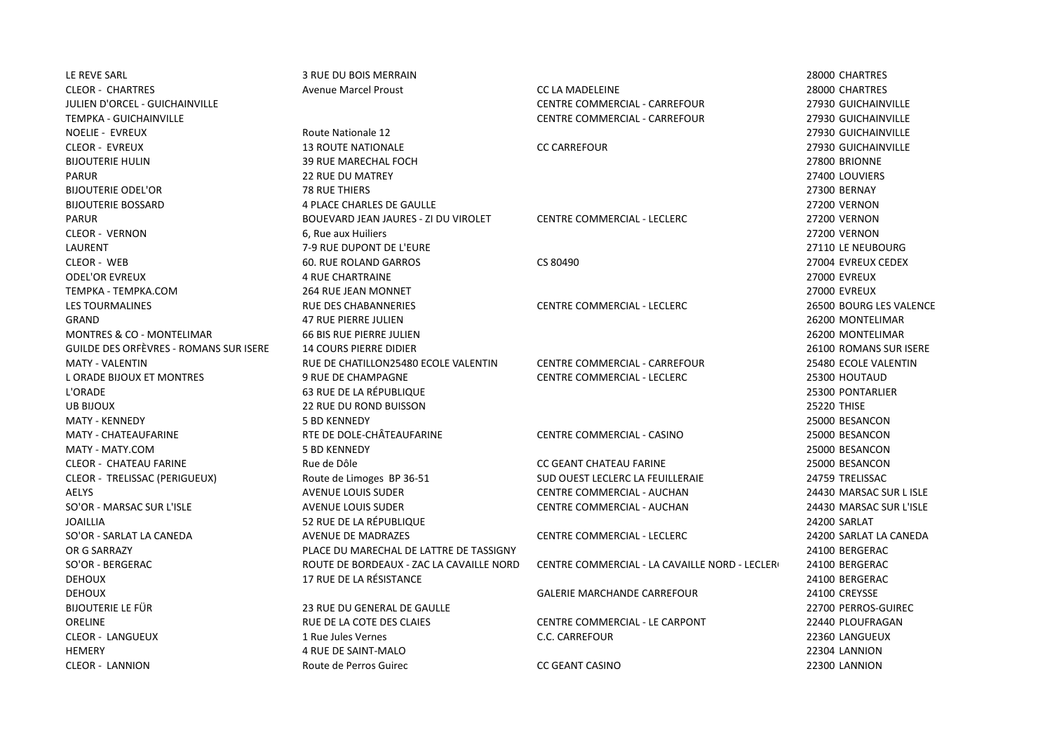HEMERY 4 RUE DE SAINT-MALO 22304 LANNION CLEOR - LANNION Route de Perros Guirec CC GEANT CASINO 22300 LANNION

LE REVE SARL 3 RUE DU BOIS MERRAIN 28000 CHARTRES CLEOR - CHARTRES Avenue Marcel Proust CC LA MADELEINE 28000 CHARTRES JULIEN D'ORCEL - GUICHAINVILLE CENTRE COMMERCIAL - CARREFOUR 27930 GUICHAINVILLE TEMPKA - GUICHAINVILLE CENTRE COMMERCIAL - CARREFOUR 27930 GUICHAINVILLE NOELIE - EVREUX Route Nationale 12 27930 GUICHAINVILLE CLEOR - EVREUX 13 ROUTE NATIONALE CC CARREFOUR 27930 GUICHAINVILLE BIJOUTERIE HULIN 39 RUE MARECHAL FOCH 27800 BRIONNE PARUR 22 RUE DU MATREY 27400 LOUVIERS BIJOUTERIE ODEL'OR 78 RUE THIERS 27300 BERNAY BIJOUTERIE BOSSARD 4 PLACE CHARLES DE GAULLE 27200 VERNON PARUR BOUEVARD JEAN JAURES - ZI DU VIROLET CENTRE COMMERCIAL - LECLERC 27200 VERNON CLEOR - VERNON 6, Rue aux Huiliers 27200 VERNON LAURENT 7-9 RUE DUPONT DE L'EURE 27110 LE NEUBOURG CLEOR - WEB 60. RUE ROLAND GARROS CS 80490 27004 EVREUX CEDEX ODEL'OR EVREUX 4 RUE CHARTRAINE 27000 EVREUX TEMPKA - TEMPKA.COM 264 RUE JEAN MONNET 27000 EVREUX LES TOURMALINES RUE DES CHABANNERIES CENTRE COMMERCIAL - LECLERC 26500 BOURG LES VALENCE GRAND 47 RUE PIERRE JULIEN 26200 MONTELIMAR MONTRES & CO - MONTELIMAR 66 BIS RUE PIERRE JULIEN 26200 MONTELIMAR GUILDE DES ORFÈVRES - ROMANS SUR ISERE 14 COURS PIERRE DIDIER 26100 ROMANS SUR ISERE MATY - VALENTIN CHATILLON 25480 ECOLE VALENTIN CENTRE COMMERCIAL - CARREFOUR 25480 ECOLE VALENTIN L ORADE BIJOUX ET MONTRES 9 RUE DE CHAMPAGNE CENTRE COMMERCIAL - LECLERC 25300 HOUTAUD L'ORADE 63 RUE DE LA RÉPUBLIQUE 25300 PONTARLIER UB BIJOUX 22 RUE DU ROND BUISSON 25220 THISE MATY - KENNEDY 5 BD KENNEDY 25000 BESANCON MATY - CHATEAUFARINE RTE DE DOLE-CHÂTEAUFARINE CENTRE COMMERCIAL - CASINO 25000 BESANCON MATY - MATY.COM 5 BD KENNEDY 25000 BESANCON CLEOR - CHATEAU FARINE Rue de Dôle CC GEANT CHATEAU FARINE 25000 BESANCON CLEOR - TRELISSAC (PERIGUEUX) Route de Limoges BP 36-51 SUD OUEST LECLERC LA FEUILLERAIE 24759 TRELISSAC AELYS AVENUE LOUIS SUDER CENTRE COMMERCIAL - AUCHAN 24430 MARSAC SUR L ISLE SO'OR - MARSAC SUR L'ISLE AVENUE LOUIS SUDER CENTRE COMMERCIAL - AUCHAN 24430 MARSAC SUR L'ISLE JOAILLIA 52 RUE DE LA RÉPUBLIQUE 24200 SARLAT SO'OR - SARLAT LA CANEDA COMMERCIAL AVENUE DE MADRAZES CENTRE COMMERCIAL - LECLERC 24200 SARLAT LA CANEDA OR G SARRAZY PLACE DU MARECHAL DE LATTRE DE TASSIGNY 24100 BERGERAC SO'OR - BERGERAC SOLL EN AN ANNE DE BORDEAUX - ZAC LA CAVAILLE NORD CENTRE COMMERCIAL - LA CAVAILLE NORD - LECLERI 24100 BERGERAC DEHOUX 17 RUE DE LA RÉSISTANCE 24100 BERGERAC DEHOUX GALERIE MARCHANDE CARREFOUR 24100 CREYSSE BIJOUTERIE LE FÜR 23 RUE DU GENERAL DE GAULLE 22700 PERROS-GUIREC ORELINE RUE DE LA COTE DES CLAIES CENTRE COMMERCIAL - LE CARPONT 22440 PLOUFRAGAN CLEOR - LANGUEUX 22360 LANGUEUX 1 Rue Jules Vernes C.C. CARREFOUR C.C. CARREFOUR 22360 LANGUEUX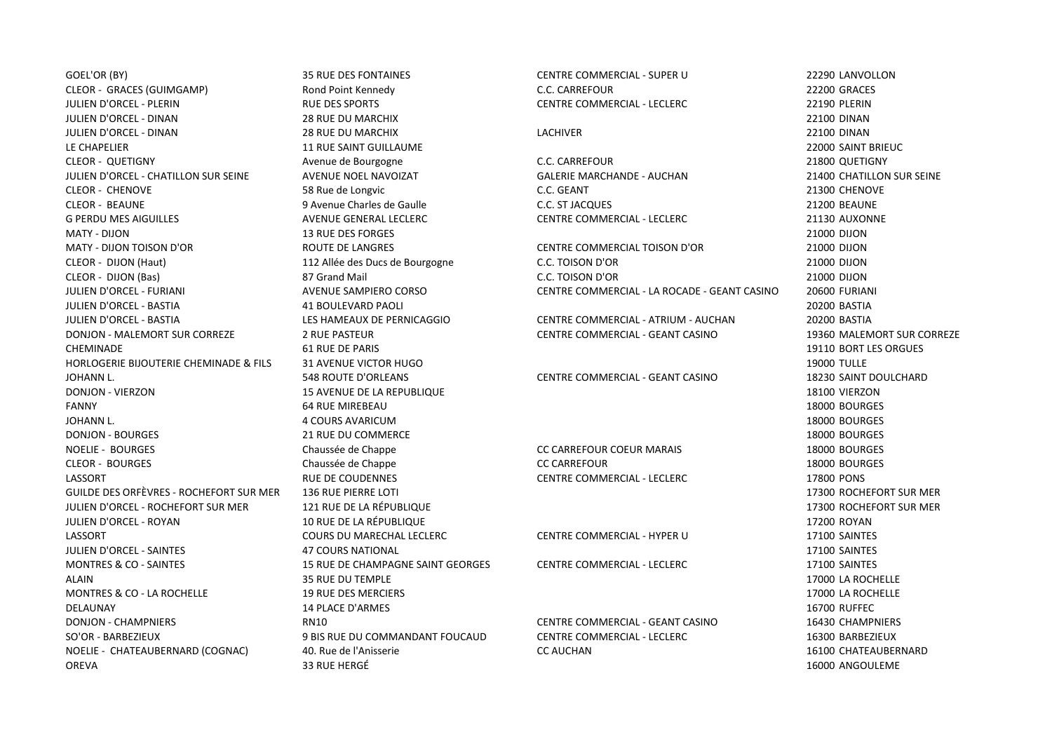GOEL'OR (BY) 35 RUE DES FONTAINES CENTRE COMMERCIAL - SUPER U 22290 LANVOLLON CLEOR - GRACES (GUIMGAMP) Rond Point Kennedy C.C. CARREFOUR 22200 GRACES JULIEN D'ORCEL - PLERIN RUE DES SPORTS CENTRE COMMERCIAL - LECLERC 22190 PLERIN JULIEN D'ORCEL - DINAN 28 RUE DU MARCHIX 22100 DINAN JULIEN D'ORCEL - DINAN 28 RUE DU MARCHIX LACHIVER 22100 DINAN LE CHAPELIER **11 RUE SAINT GUILLAUME** 22000 SAINT BRIEUC CLEOR - QUETIGNY Avenue de Bourgogne C.C. CARREFOUR 21800 QUETIGNY JULIEN D'ORCEL - CHATILLON SUR SEINE AVENUE NOEL NAVOIZAT GALERIE MARCHANDE - AUCHAN 21400 CHATILLON SUR SEINE CLEOR - CHENOVE 58 Rue de Longvic C.C. GEANT 21300 CHENOVE CLEOR - BEAUNE 9 Avenue Charles de Gaulle C.C. ST JACQUES 21200 BEAUNE G PERDU MES AIGUILLES **AVENUE GENERAL LECLERC** CENTRE COMMERCIAL - LECLERC 21130 AUXONNE MATY - DIJON 13 RUE DES FORGES 21000 DIJON MATY - DIJON TOISON D'OR ROUTE DE LANGRES CENTRE COMMERCIAL TOISON D'OR 21000 DIJON JULIEN D'ORCEL - BASTIA 41 BOULEVARD PAOLI 20200 BASTIA JULIEN D'ORCEL - BASTIA LES HAMEAUX DE PERNICAGGIO CENTRE COMMERCIAL - ATRIUM - AUCHAN 20200 BASTIA DONJON - MALEMORT SUR CORREZE 2 RUE PASTEUR CENTRE COMMERCIAL - GEANT CASINO 19360 MALEMORT SUR CORREZE CHEMINADE 61 RUE DE PARIS 19110 BORT LES ORGUES HORLOGERIE BIJOUTERIE CHEMINADE & FILS 31 AVENUE VICTOR HUGO 19000 TULLE JOHANN L. 548 ROUTE D'ORLEANS CENTRE COMMERCIAL - GEANT CASINO 18230 SAINT DOULCHARD DONJON - VIERZON 15 AVENUE DE LA REPUBLIQUE 18100 VIERZON FANNY FANNY 18000 BOURGES AND SAN HEREAU AND SAN HEREAU AND SAN HEREAU AND SAN HEREAU AND SAN HEREAU AND SAN H JOHANN L. 4 COURS AVARICUM 18000 BOURGES DONJON - BOURGES 21 RUE DU COMMERCE 18000 BOURGES NOELIE - BOURGES Chaussée de Chappe CC CARREFOUR COEUR MARAIS 18000 BOURGES CLEOR - BOURGES Chaussée de Chappe CC CARREFOUR 18000 BOURGES LASSORT RUE DE COUDENNES CENTRE COMMERCIAL - LECLERC 17800 PONS GUILDE DES ORFÈVRES - ROCHEFORT SUR MER 136 RUE PIERRE LOTI 17300 ROCHEFORT SUR MER JULIEN D'ORCEL - ROCHEFORT SUR MER 121 RUE DE LA RÉPUBLIQUE 17300 ROCHEFORT SUR MER JULIEN D'ORCEL - ROYAN 10 AUROLE DE LA RÉPUBLIQUE EN ENCOLONIEN EN 1888 EN 1888 EN 1888 EN 17200 ROYAN LASSORT COURS DU MARECHAL LECLERC CENTRE COMMERCIAL - HYPER U 17100 SAINTES JULIEN D'ORCEL - SAINTES 47 COURS NATIONAL 17100 SAINTES MONTRES & CO - SAINTES 15 RUE DE CHAMPAGNE SAINT GEORGES CENTRE COMMERCIAL - LECLERC 17100 SAINTES ALAIN 17000 LA ROCHELLE 35 RUE DU TEMPLE 2000 LA ROCHELLE MONTRES & CO - LA ROCHELLE **19 RUE DES MERCIERS** 19 RUE DES MERCIERS 17000 LA ROCHELLE DELAUNAY 14 PLACE D'ARMES 16700 RUFFEC DONJON - CHAMPNIERS RN10 CENTRE COMMERCIAL - GEANT CASINO 16430 CHAMPNIERS SO'OR - BARBEZIEUX 9 BIS RUE DU COMMANDANT FOUCAUD CENTRE COMMERCIAL - LECLERC 16300 BARBEZIEUX NOELIE - CHATEAUBERNARD (COGNAC) 40. Rue de l'Anisserie CC AUCHAN 16100 CHATEAUBERNARD OREVA 33 RUE HERGÉ 16000 ANGOULEME

CLEOR - DIJON (Haut) 112 Allée des Ducs de Bourgogne C.C. TOISON D'OR 21000 DIJON CLEOR - DIJON (Bas) 87 Grand Mail C.C. TOISON D'OR 21000 DIJON JULIEN D'ORCEL - FURIANI AVENUE SAMPIERO CORSO CENTRE COMMERCIAL - LA ROCADE - GEANT CASINO 20600 FURIANI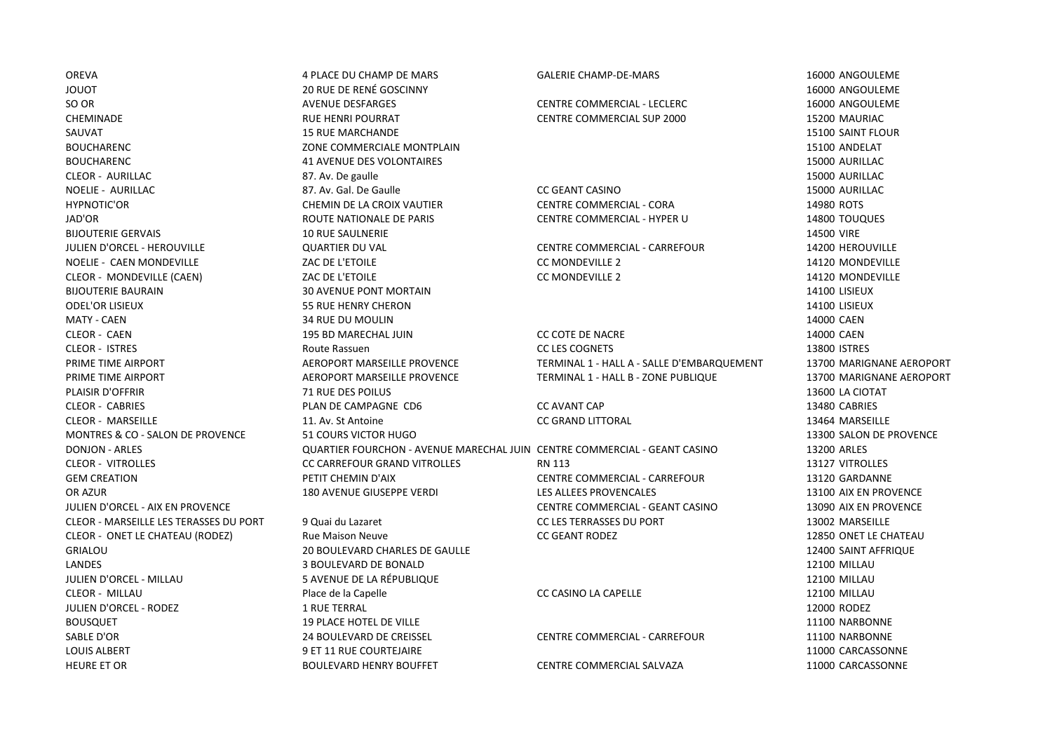LOUIS ALBERT THE SET OF THE COURTEJAIRE AND SET OUR SET OF THE SET OF THE SET OF THE SET OF THE SET OF THE SET OF THE SET OF THE SET OF THE SET OF THE SET OF THE SET OF THE SET OF THE SET OF THE SET OF THE SET OF THE SET O HEURE ET OR BOULEVARD HENRY BOUFFET CENTRE COMMERCIAL SALVAZA 11000 CARCASSONNE

OREVA 4 PLACE DU CHAMP DE MARS GALERIE CHAMP-DE-MARS 16000 ANGOULEME JOUOT 20 RUE DE RENÉ GOSCINNY 16000 ANGOULEME SO OR SO OR AVENUE DESFARGES AND CENTRE COMMERCIAL - LECLERC AND CONDUCTED AND LECLERC COMMERCIAL - LECLERC COMMERCIAL - LECLERC COMMERCIAL - LECLERC COMMERCIAL - LECLERC COMMERCIAL - LECLERC CHEMINADE CHEMINADE CHEMINADE RUE HENRI POURRAT CENTRE COMMERCIAL SUP 2000 15200 15200 MAURIAC SAUVAT 15 RUE MARCHANDE 15100 SAINT FLOUR BOUCHARENC **15100 ANDELAT 15100 ANDELAT** 70NE COMMERCIALE MONTPLAIN BOUCHARENC **15000 AURILLAC** 41 AVENUE DES VOLONTAIRES 15000 AURILLAC CLEOR - AURILLAC 87. Av. De gaulle 15000 AURILLAC NOELIE - AURILLAC 87. Av. Gal. De Gaulle CC GEANT CASINO 15000 AURILLAC HYPNOTIC'OR CHEMIN DE LA CROIX VAUTIER CENTRE COMMERCIAL - CORA 14980 ROTS JAD'OR ROUTE NATIONALE DE PARIS CENTRE COMMERCIAL - HYPER U 14800 TOUQUES BIJOUTERIE GERVAIS 10 RUE SAULNERIE 14500 VIRE JULIEN D'ORCEL - HEROUVILLE QUARTIER DU VAL CENTRE COMMERCIAL - CARREFOUR 14200 HEROUVILLE NOELIE - CAEN MONDEVILLE **AUCH EN ENGLICE COMPLIE AUCTES AUCTES** COMPLICE COMONDEVILLE 2 14120 MONDEVILLE 2 CLEOR - MONDEVILLE (CAEN) CONDEVILLE CAEN 2 2 2 2 2 2 2 2 2 3 2 4120 MONDEVILLE 2 BIJOUTERIE BAURAIN CHE SANNE SO AVENUE PONT MORTAIN CHE SOLUTERIE SOLUTERIE BAURAIN CHE SOLUTERIE BAURAIN SUNT ODEL'OR LISIEUX 55 RUE HENRY CHERON 14100 LISIEUX MATY - CAEN 2000 CAEN 34 RUE DU MOULIN 2000 CAEN 34 RUE DU MOULIN PLAISIR D'OFFRIR 71 RUE DES POILUS 13600 LA CIOTAT CLEOR - CABRIES PLAN DE CAMPAGNE CD6 CC AVANT CAP 13480 CABRIES CLEOR - MARSEILLE 11. Av. St Antoine CC GRAND LITTORAL 13464 MARSEILLE MONTRES & CO - SALON DE PROVENCE 51 COURS VICTOR HUGO 13300 SALON DE PROVENCE CLEOR - ONET LE CHATEAU (RODEZ) Rue Maison Neuve CC GEANT RODEZ 12850 ONET LE CHATEAU GRIALOU 20 BOULEVARD CHARLES DE GAULLE 12400 SAINT AFFRIQUE LANDES 3 BOULEVARD DE BONALD 12100 MILLAU JULIEN D'ORCEL - MILLAU 5 AVENUE DE LA RÉPUBLIQUE 12100 MILLAU CLEOR - MILLAU Place de la Capelle CC CASINO LA CAPELLE 12100 MILLAU JULIEN D'ORCEL - RODEZ 1 RUE TERRAL 12000 RODEZ BOUSQUET **19 PLACE HOTEL DE VILLE** 19 PLACE HOTEL DE VILLE SABLE D'OR 24 BOULEVARD DE CREISSEL CENTRE COMMERCIAL - CARREFOUR 11100 NARBONNE

CLEOR - CAEN 195 BD MARECHAL JUIN CC COTE DE NACRE 14000 CAEN CLEOR - ISTRES Route Rassuen CC LES COGNETS 13800 ISTRES PRIME TIME AIRPORT **AEROPORT MARSEILLE PROVENCE TERMINAL 1 - HALL A - SALLE D'EMBARQUEMENT 13700 MARIGNANE AEROPORT** PRIME TIME AIRPORT **AEROPORT MARSEILLE PROVENCE TERMINAL 1 - HALL B - ZONE PUBLIQUE** 13700 MARIGNANE AEROPORT

DONJON - ARLES QUARTIER FOURCHON - AVENUE MARECHAL JUIN CENTRE COMMERCIAL - GEANT CASINO 13200 ARLES CLEOR - VITROLLES COMENTED UNIVERSITY COMPANDING COMPANY OF COMPANY OF COMPANY OF COMPANY OF COMPANY OF COMPANY OF COMPANY OF COMPANY OF COMPANY OF COMPANY OF COMPANY OF COMPANY OF COMPANY OF COMPANY OF COMPANY OF COMPANY GEM CREATION PETIT CHEMIN D'AIX CENTRE COMMERCIAL - CARREFOUR 13120 GARDANNE OR AZUR 180 AVENUE GIUSEPPE VERDI LES ALLEES PROVENCALES 13100 AIX EN PROVENCE JULIEN D'ORCEL - AIX EN PROVENCE CENTRE COMMERCIAL - GEANT CASINO 13090 AIX EN PROVENCE CLEOR - MARSEILLE LES TERASSES DU PORT 9 Quai du Lazaret CC LES TERRASSES DU PORT 13002 MARSEILLE